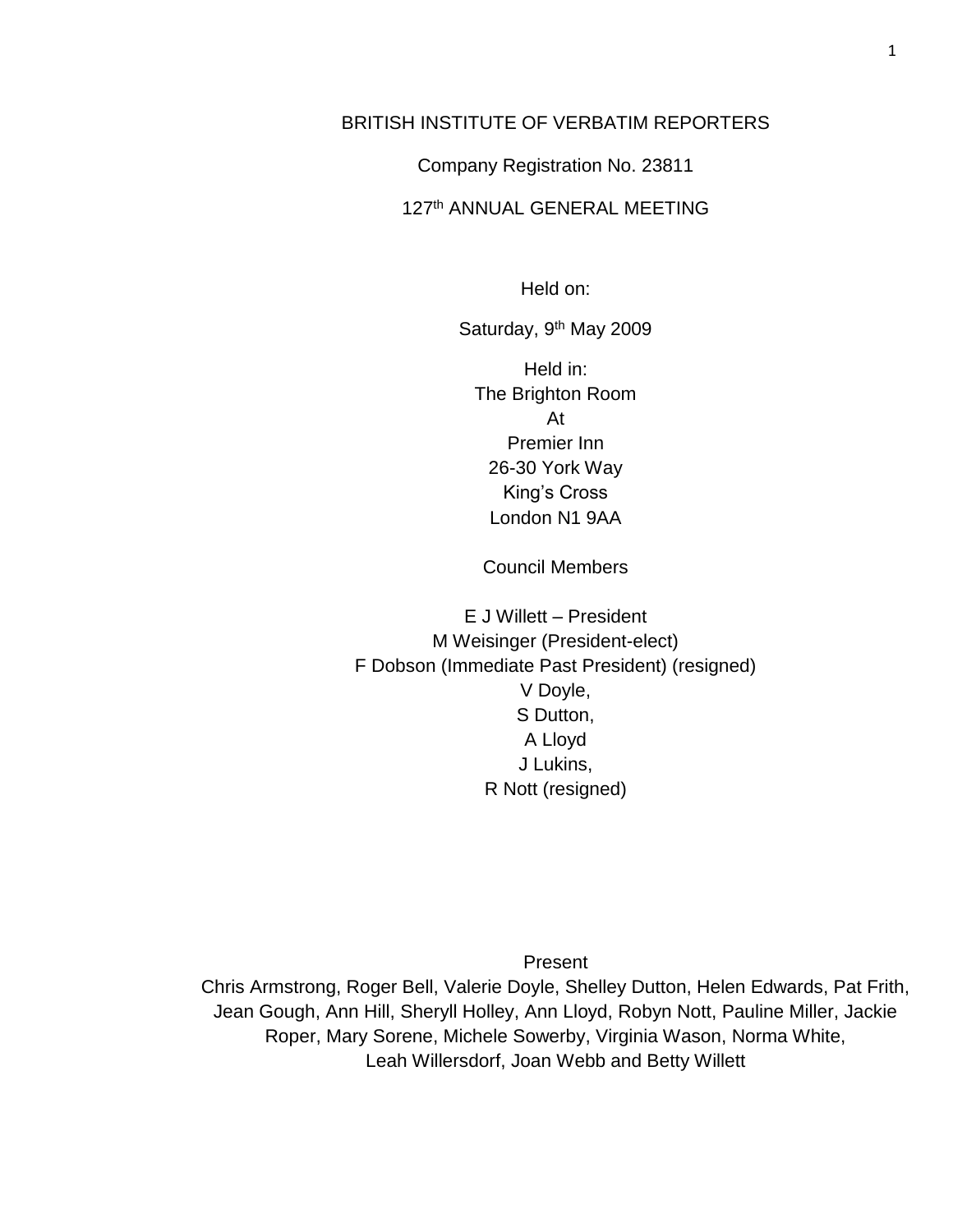# BRITISH INSTITUTE OF VERBATIM REPORTERS

Company Registration No. 23811

## 127th ANNUAL GENERAL MEETING

Held on:

Saturday, 9<sup>th</sup> May 2009

Held in: The Brighton Room At Premier Inn 26-30 York Way King's Cross London N1 9AA

Council Members

E J Willett – President M Weisinger (President-elect) F Dobson (Immediate Past President) (resigned) V Doyle, S Dutton, A Lloyd J Lukins, R Nott (resigned)

Present

Chris Armstrong, Roger Bell, Valerie Doyle, Shelley Dutton, Helen Edwards, Pat Frith, Jean Gough, Ann Hill, Sheryll Holley, Ann Lloyd, Robyn Nott, Pauline Miller, Jackie Roper, Mary Sorene, Michele Sowerby, Virginia Wason, Norma White, Leah Willersdorf, Joan Webb and Betty Willett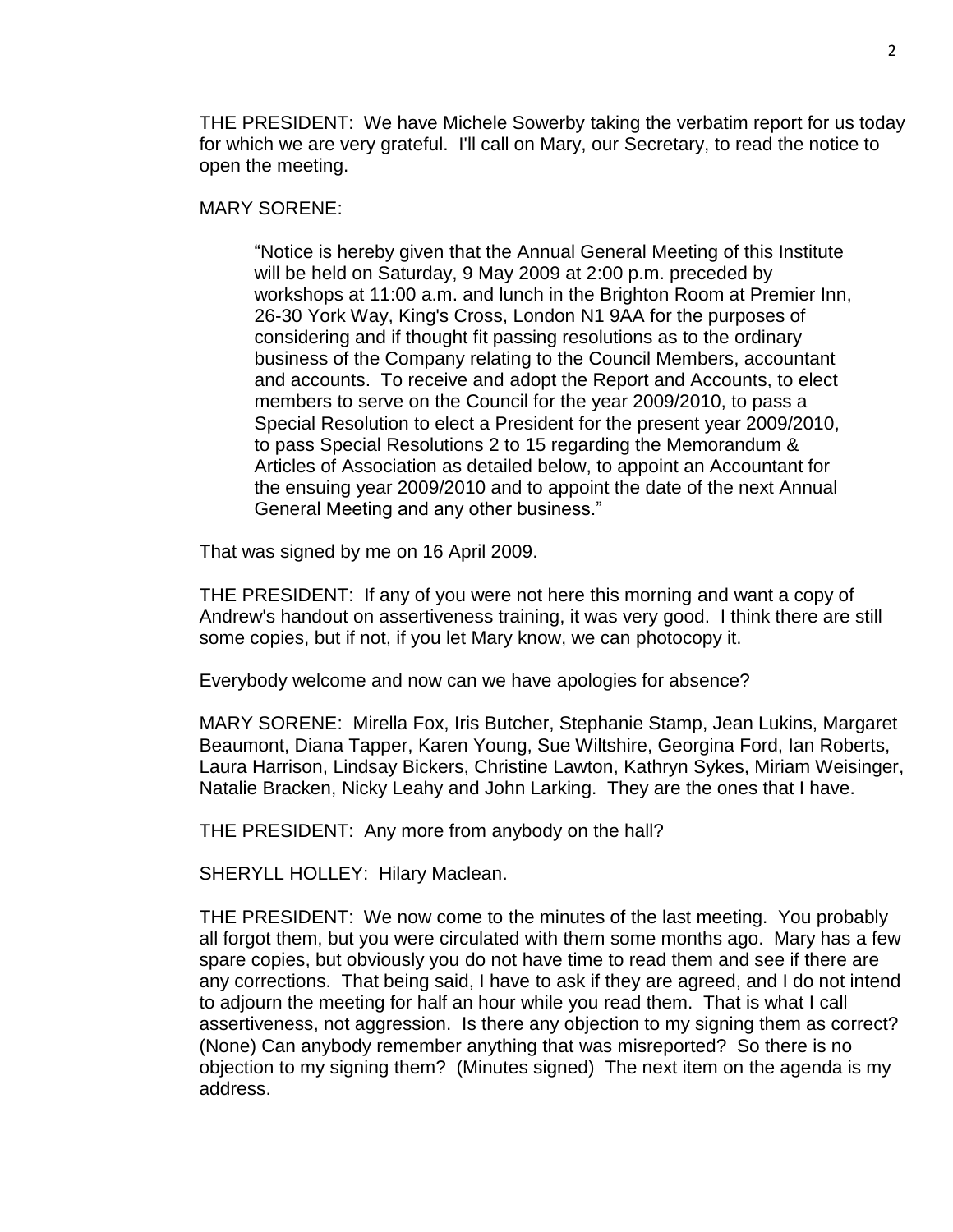THE PRESIDENT: We have Michele Sowerby taking the verbatim report for us today for which we are very grateful. I'll call on Mary, our Secretary, to read the notice to open the meeting.

MARY SORENE:

"Notice is hereby given that the Annual General Meeting of this Institute will be held on Saturday, 9 May 2009 at 2:00 p.m. preceded by workshops at 11:00 a.m. and lunch in the Brighton Room at Premier Inn, 26-30 York Way, King's Cross, London N1 9AA for the purposes of considering and if thought fit passing resolutions as to the ordinary business of the Company relating to the Council Members, accountant and accounts. To receive and adopt the Report and Accounts, to elect members to serve on the Council for the year 2009/2010, to pass a Special Resolution to elect a President for the present year 2009/2010, to pass Special Resolutions 2 to 15 regarding the Memorandum & Articles of Association as detailed below, to appoint an Accountant for the ensuing year 2009/2010 and to appoint the date of the next Annual General Meeting and any other business."

That was signed by me on 16 April 2009.

THE PRESIDENT: If any of you were not here this morning and want a copy of Andrew's handout on assertiveness training, it was very good. I think there are still some copies, but if not, if you let Mary know, we can photocopy it.

Everybody welcome and now can we have apologies for absence?

MARY SORENE: Mirella Fox, Iris Butcher, Stephanie Stamp, Jean Lukins, Margaret Beaumont, Diana Tapper, Karen Young, Sue Wiltshire, Georgina Ford, Ian Roberts, Laura Harrison, Lindsay Bickers, Christine Lawton, Kathryn Sykes, Miriam Weisinger, Natalie Bracken, Nicky Leahy and John Larking. They are the ones that I have.

THE PRESIDENT: Any more from anybody on the hall?

SHERYLL HOLLEY: Hilary Maclean.

THE PRESIDENT: We now come to the minutes of the last meeting. You probably all forgot them, but you were circulated with them some months ago. Mary has a few spare copies, but obviously you do not have time to read them and see if there are any corrections. That being said, I have to ask if they are agreed, and I do not intend to adjourn the meeting for half an hour while you read them. That is what I call assertiveness, not aggression. Is there any objection to my signing them as correct? (None) Can anybody remember anything that was misreported? So there is no objection to my signing them? (Minutes signed) The next item on the agenda is my address.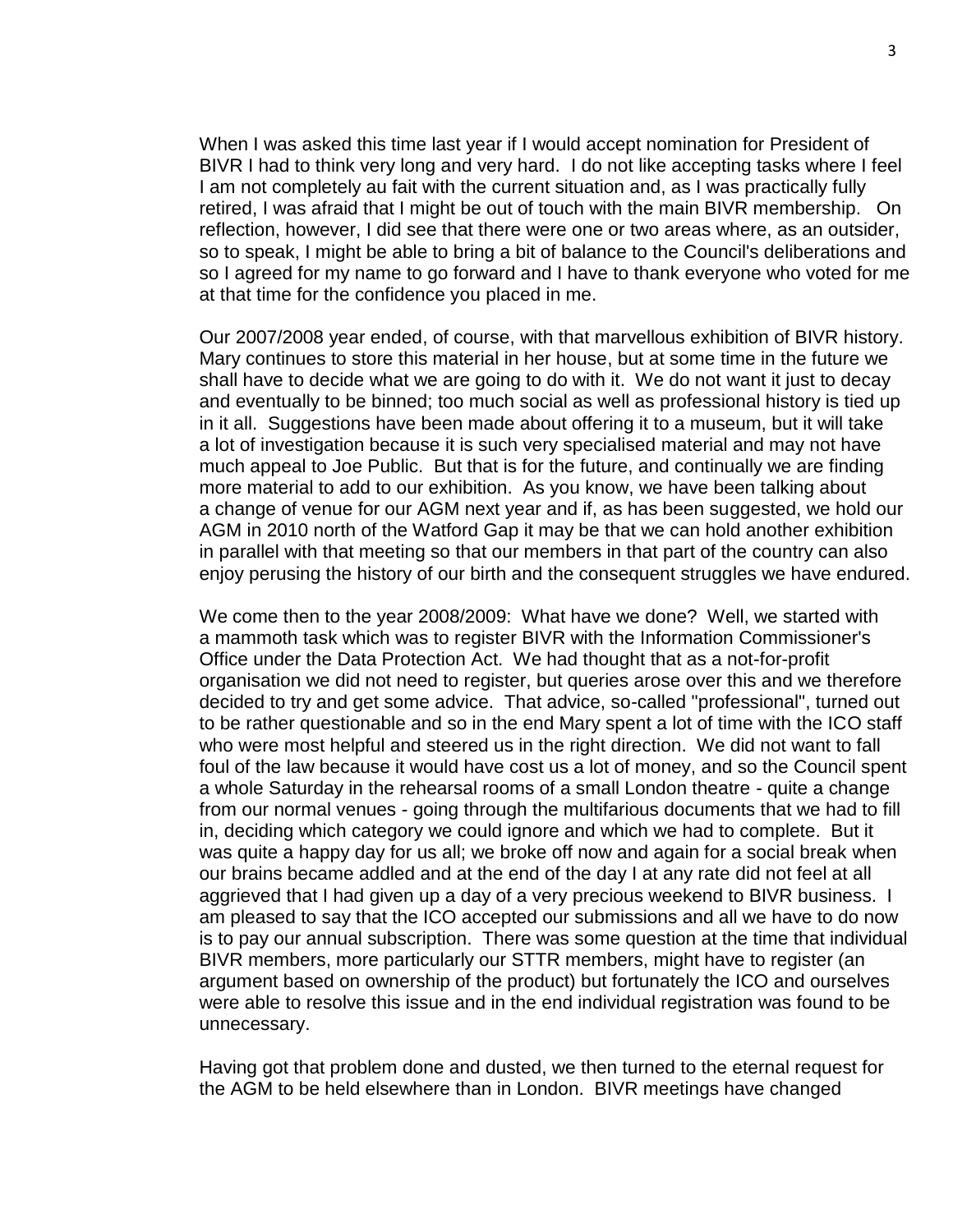When I was asked this time last year if I would accept nomination for President of BIVR I had to think very long and very hard. I do not like accepting tasks where I feel I am not completely au fait with the current situation and, as I was practically fully retired, I was afraid that I might be out of touch with the main BIVR membership. On reflection, however, I did see that there were one or two areas where, as an outsider, so to speak, I might be able to bring a bit of balance to the Council's deliberations and so I agreed for my name to go forward and I have to thank everyone who voted for me at that time for the confidence you placed in me.

Our 2007/2008 year ended, of course, with that marvellous exhibition of BIVR history. Mary continues to store this material in her house, but at some time in the future we shall have to decide what we are going to do with it. We do not want it just to decay and eventually to be binned; too much social as well as professional history is tied up in it all. Suggestions have been made about offering it to a museum, but it will take a lot of investigation because it is such very specialised material and may not have much appeal to Joe Public. But that is for the future, and continually we are finding more material to add to our exhibition. As you know, we have been talking about a change of venue for our AGM next year and if, as has been suggested, we hold our AGM in 2010 north of the Watford Gap it may be that we can hold another exhibition in parallel with that meeting so that our members in that part of the country can also enjoy perusing the history of our birth and the consequent struggles we have endured.

We come then to the year 2008/2009: What have we done? Well, we started with a mammoth task which was to register BIVR with the Information Commissioner's Office under the Data Protection Act. We had thought that as a not-for-profit organisation we did not need to register, but queries arose over this and we therefore decided to try and get some advice. That advice, so-called "professional", turned out to be rather questionable and so in the end Mary spent a lot of time with the ICO staff who were most helpful and steered us in the right direction. We did not want to fall foul of the law because it would have cost us a lot of money, and so the Council spent a whole Saturday in the rehearsal rooms of a small London theatre - quite a change from our normal venues - going through the multifarious documents that we had to fill in, deciding which category we could ignore and which we had to complete. But it was quite a happy day for us all; we broke off now and again for a social break when our brains became addled and at the end of the day I at any rate did not feel at all aggrieved that I had given up a day of a very precious weekend to BIVR business. I am pleased to say that the ICO accepted our submissions and all we have to do now is to pay our annual subscription. There was some question at the time that individual BIVR members, more particularly our STTR members, might have to register (an argument based on ownership of the product) but fortunately the ICO and ourselves were able to resolve this issue and in the end individual registration was found to be unnecessary.

Having got that problem done and dusted, we then turned to the eternal request for the AGM to be held elsewhere than in London. BIVR meetings have changed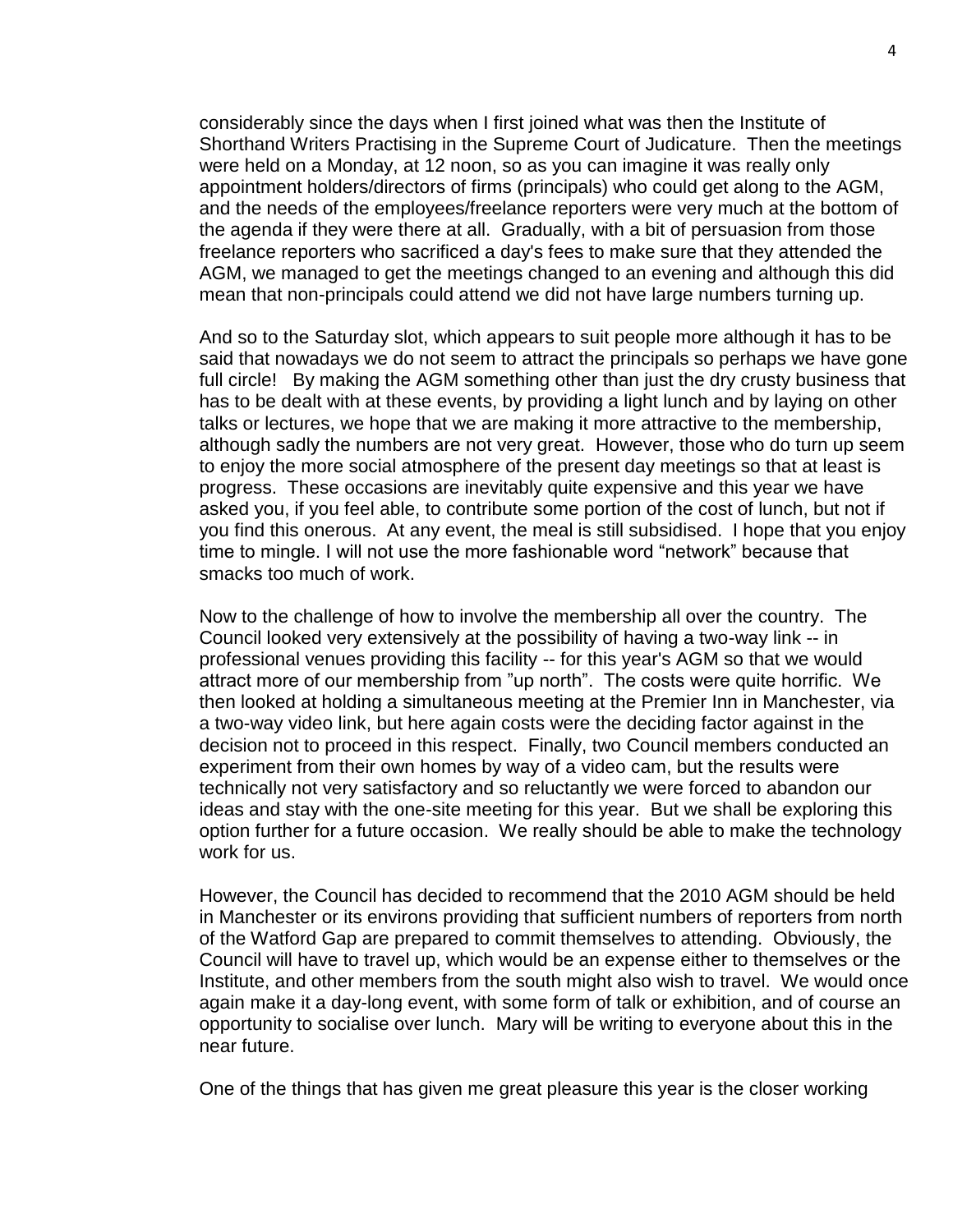considerably since the days when I first joined what was then the Institute of Shorthand Writers Practising in the Supreme Court of Judicature. Then the meetings were held on a Monday, at 12 noon, so as you can imagine it was really only appointment holders/directors of firms (principals) who could get along to the AGM, and the needs of the employees/freelance reporters were very much at the bottom of the agenda if they were there at all. Gradually, with a bit of persuasion from those freelance reporters who sacrificed a day's fees to make sure that they attended the AGM, we managed to get the meetings changed to an evening and although this did mean that non-principals could attend we did not have large numbers turning up.

And so to the Saturday slot, which appears to suit people more although it has to be said that nowadays we do not seem to attract the principals so perhaps we have gone full circle! By making the AGM something other than just the dry crusty business that has to be dealt with at these events, by providing a light lunch and by laying on other talks or lectures, we hope that we are making it more attractive to the membership, although sadly the numbers are not very great. However, those who do turn up seem to enjoy the more social atmosphere of the present day meetings so that at least is progress. These occasions are inevitably quite expensive and this year we have asked you, if you feel able, to contribute some portion of the cost of lunch, but not if you find this onerous. At any event, the meal is still subsidised. I hope that you enjoy time to mingle. I will not use the more fashionable word "network" because that smacks too much of work.

Now to the challenge of how to involve the membership all over the country. The Council looked very extensively at the possibility of having a two-way link -- in professional venues providing this facility -- for this year's AGM so that we would attract more of our membership from "up north". The costs were quite horrific. We then looked at holding a simultaneous meeting at the Premier Inn in Manchester, via a two-way video link, but here again costs were the deciding factor against in the decision not to proceed in this respect. Finally, two Council members conducted an experiment from their own homes by way of a video cam, but the results were technically not very satisfactory and so reluctantly we were forced to abandon our ideas and stay with the one-site meeting for this year. But we shall be exploring this option further for a future occasion. We really should be able to make the technology work for us.

However, the Council has decided to recommend that the 2010 AGM should be held in Manchester or its environs providing that sufficient numbers of reporters from north of the Watford Gap are prepared to commit themselves to attending. Obviously, the Council will have to travel up, which would be an expense either to themselves or the Institute, and other members from the south might also wish to travel. We would once again make it a day-long event, with some form of talk or exhibition, and of course an opportunity to socialise over lunch. Mary will be writing to everyone about this in the near future.

One of the things that has given me great pleasure this year is the closer working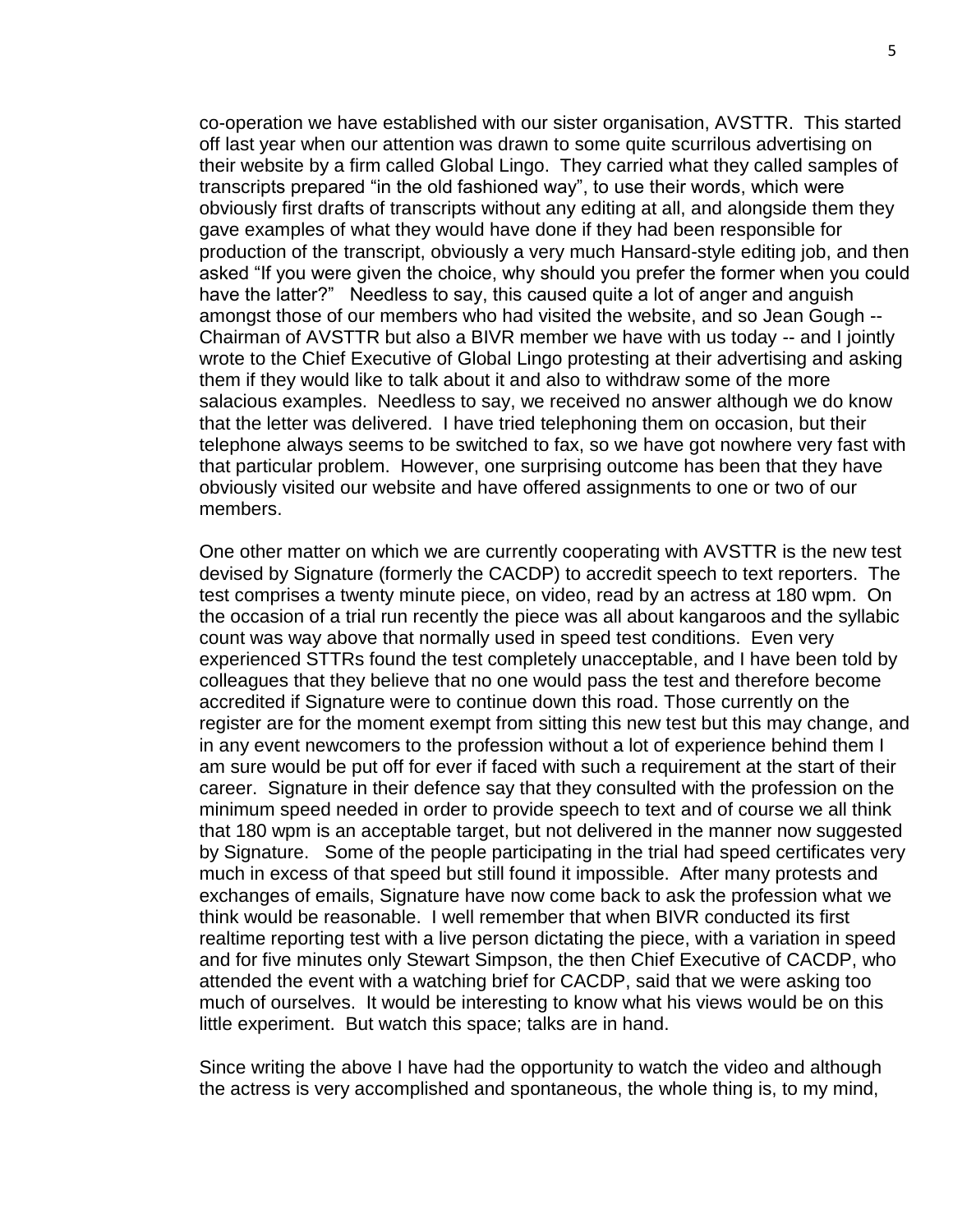co-operation we have established with our sister organisation, AVSTTR. This started off last year when our attention was drawn to some quite scurrilous advertising on their website by a firm called Global Lingo. They carried what they called samples of transcripts prepared "in the old fashioned way", to use their words, which were obviously first drafts of transcripts without any editing at all, and alongside them they gave examples of what they would have done if they had been responsible for production of the transcript, obviously a very much Hansard-style editing job, and then asked "If you were given the choice, why should you prefer the former when you could have the latter?" Needless to say, this caused quite a lot of anger and anguish amongst those of our members who had visited the website, and so Jean Gough -- Chairman of AVSTTR but also a BIVR member we have with us today -- and I jointly wrote to the Chief Executive of Global Lingo protesting at their advertising and asking them if they would like to talk about it and also to withdraw some of the more salacious examples. Needless to say, we received no answer although we do know that the letter was delivered. I have tried telephoning them on occasion, but their telephone always seems to be switched to fax, so we have got nowhere very fast with that particular problem. However, one surprising outcome has been that they have obviously visited our website and have offered assignments to one or two of our members.

One other matter on which we are currently cooperating with AVSTTR is the new test devised by Signature (formerly the CACDP) to accredit speech to text reporters. The test comprises a twenty minute piece, on video, read by an actress at 180 wpm. On the occasion of a trial run recently the piece was all about kangaroos and the syllabic count was way above that normally used in speed test conditions. Even very experienced STTRs found the test completely unacceptable, and I have been told by colleagues that they believe that no one would pass the test and therefore become accredited if Signature were to continue down this road. Those currently on the register are for the moment exempt from sitting this new test but this may change, and in any event newcomers to the profession without a lot of experience behind them I am sure would be put off for ever if faced with such a requirement at the start of their career. Signature in their defence say that they consulted with the profession on the minimum speed needed in order to provide speech to text and of course we all think that 180 wpm is an acceptable target, but not delivered in the manner now suggested by Signature. Some of the people participating in the trial had speed certificates very much in excess of that speed but still found it impossible. After many protests and exchanges of emails, Signature have now come back to ask the profession what we think would be reasonable. I well remember that when BIVR conducted its first realtime reporting test with a live person dictating the piece, with a variation in speed and for five minutes only Stewart Simpson, the then Chief Executive of CACDP, who attended the event with a watching brief for CACDP, said that we were asking too much of ourselves. It would be interesting to know what his views would be on this little experiment. But watch this space; talks are in hand.

Since writing the above I have had the opportunity to watch the video and although the actress is very accomplished and spontaneous, the whole thing is, to my mind,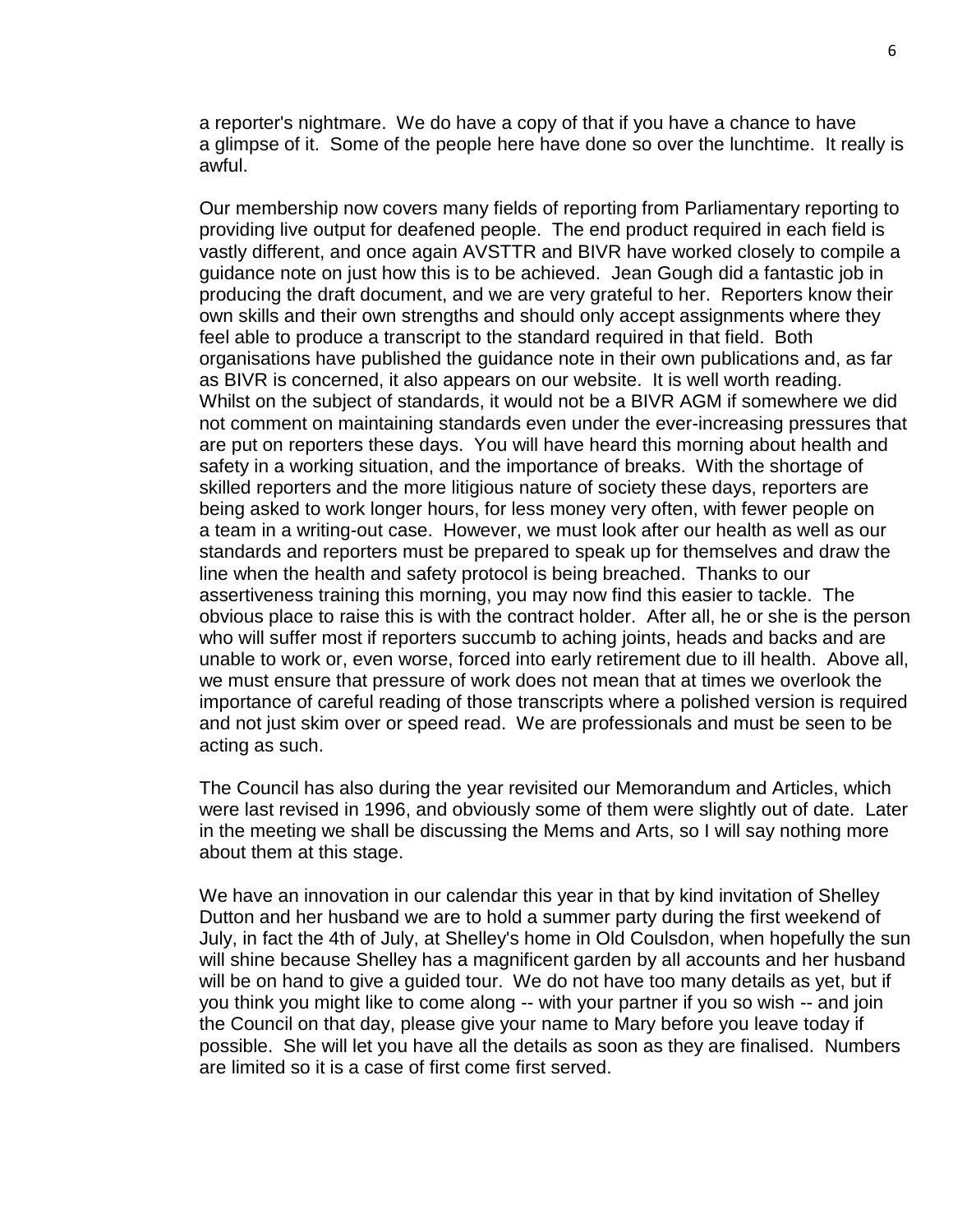a reporter's nightmare. We do have a copy of that if you have a chance to have a glimpse of it. Some of the people here have done so over the lunchtime. It really is awful.

Our membership now covers many fields of reporting from Parliamentary reporting to providing live output for deafened people. The end product required in each field is vastly different, and once again AVSTTR and BIVR have worked closely to compile a guidance note on just how this is to be achieved. Jean Gough did a fantastic job in producing the draft document, and we are very grateful to her. Reporters know their own skills and their own strengths and should only accept assignments where they feel able to produce a transcript to the standard required in that field. Both organisations have published the guidance note in their own publications and, as far as BIVR is concerned, it also appears on our website. It is well worth reading. Whilst on the subject of standards, it would not be a BIVR AGM if somewhere we did not comment on maintaining standards even under the ever-increasing pressures that are put on reporters these days. You will have heard this morning about health and safety in a working situation, and the importance of breaks. With the shortage of skilled reporters and the more litigious nature of society these days, reporters are being asked to work longer hours, for less money very often, with fewer people on a team in a writing-out case. However, we must look after our health as well as our standards and reporters must be prepared to speak up for themselves and draw the line when the health and safety protocol is being breached. Thanks to our assertiveness training this morning, you may now find this easier to tackle. The obvious place to raise this is with the contract holder. After all, he or she is the person who will suffer most if reporters succumb to aching joints, heads and backs and are unable to work or, even worse, forced into early retirement due to ill health. Above all, we must ensure that pressure of work does not mean that at times we overlook the importance of careful reading of those transcripts where a polished version is required and not just skim over or speed read. We are professionals and must be seen to be acting as such.

The Council has also during the year revisited our Memorandum and Articles, which were last revised in 1996, and obviously some of them were slightly out of date. Later in the meeting we shall be discussing the Mems and Arts, so I will say nothing more about them at this stage.

We have an innovation in our calendar this year in that by kind invitation of Shelley Dutton and her husband we are to hold a summer party during the first weekend of July, in fact the 4th of July, at Shelley's home in Old Coulsdon, when hopefully the sun will shine because Shelley has a magnificent garden by all accounts and her husband will be on hand to give a guided tour. We do not have too many details as yet, but if you think you might like to come along -- with your partner if you so wish -- and join the Council on that day, please give your name to Mary before you leave today if possible. She will let you have all the details as soon as they are finalised. Numbers are limited so it is a case of first come first served.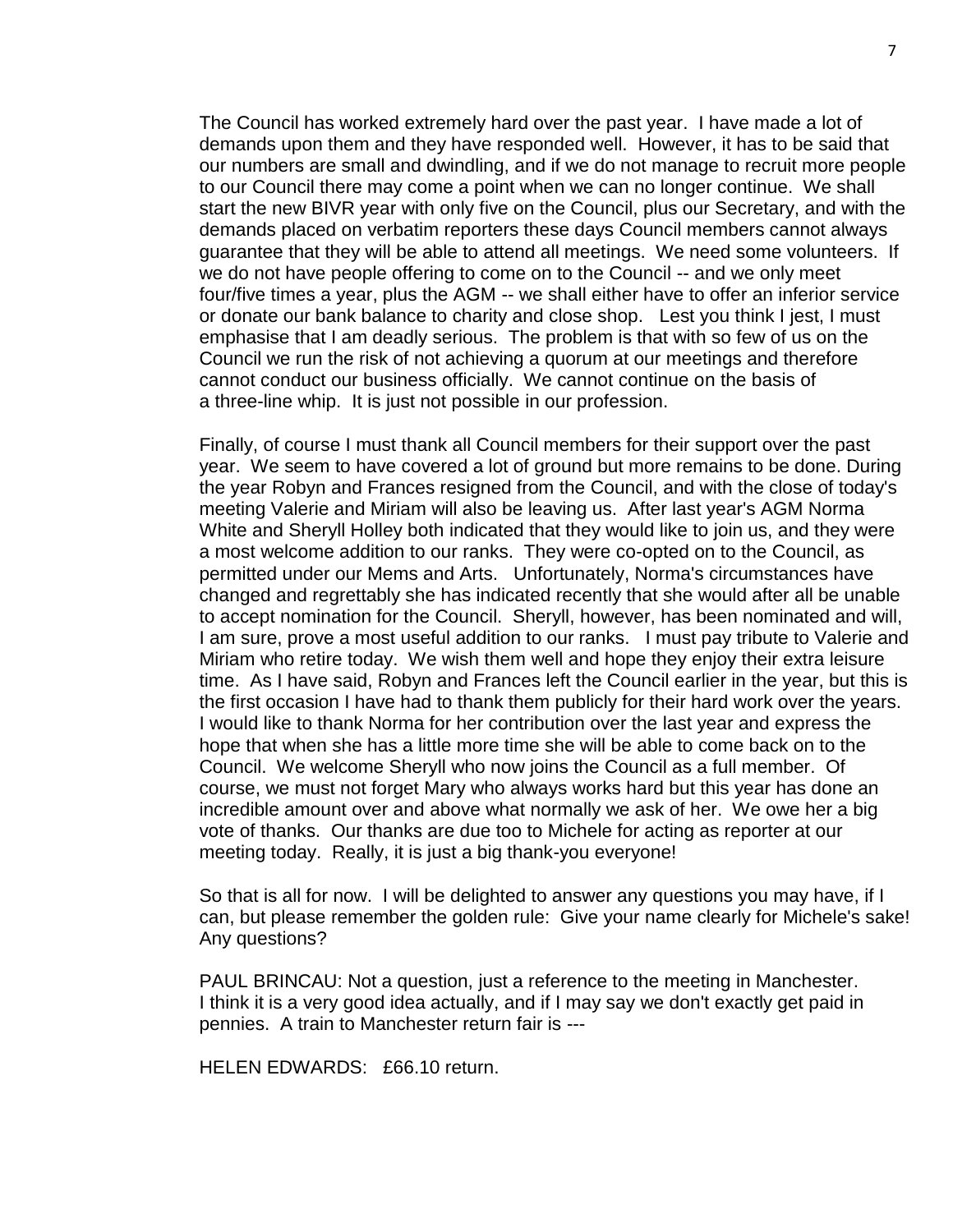The Council has worked extremely hard over the past year. I have made a lot of demands upon them and they have responded well. However, it has to be said that our numbers are small and dwindling, and if we do not manage to recruit more people to our Council there may come a point when we can no longer continue. We shall start the new BIVR year with only five on the Council, plus our Secretary, and with the demands placed on verbatim reporters these days Council members cannot always guarantee that they will be able to attend all meetings. We need some volunteers. If we do not have people offering to come on to the Council -- and we only meet four/five times a year, plus the AGM -- we shall either have to offer an inferior service or donate our bank balance to charity and close shop. Lest you think I jest, I must emphasise that I am deadly serious. The problem is that with so few of us on the Council we run the risk of not achieving a quorum at our meetings and therefore cannot conduct our business officially. We cannot continue on the basis of a three-line whip. It is just not possible in our profession.

Finally, of course I must thank all Council members for their support over the past year. We seem to have covered a lot of ground but more remains to be done. During the year Robyn and Frances resigned from the Council, and with the close of today's meeting Valerie and Miriam will also be leaving us. After last year's AGM Norma White and Sheryll Holley both indicated that they would like to join us, and they were a most welcome addition to our ranks. They were co-opted on to the Council, as permitted under our Mems and Arts. Unfortunately, Norma's circumstances have changed and regrettably she has indicated recently that she would after all be unable to accept nomination for the Council. Sheryll, however, has been nominated and will, I am sure, prove a most useful addition to our ranks. I must pay tribute to Valerie and Miriam who retire today. We wish them well and hope they enjoy their extra leisure time. As I have said, Robyn and Frances left the Council earlier in the year, but this is the first occasion I have had to thank them publicly for their hard work over the years. I would like to thank Norma for her contribution over the last year and express the hope that when she has a little more time she will be able to come back on to the Council. We welcome Sheryll who now joins the Council as a full member. Of course, we must not forget Mary who always works hard but this year has done an incredible amount over and above what normally we ask of her. We owe her a big vote of thanks. Our thanks are due too to Michele for acting as reporter at our meeting today. Really, it is just a big thank-you everyone!

So that is all for now. I will be delighted to answer any questions you may have, if I can, but please remember the golden rule: Give your name clearly for Michele's sake! Any questions?

PAUL BRINCAU: Not a question, just a reference to the meeting in Manchester. I think it is a very good idea actually, and if I may say we don't exactly get paid in pennies. A train to Manchester return fair is ---

HELEN EDWARDS: £66.10 return.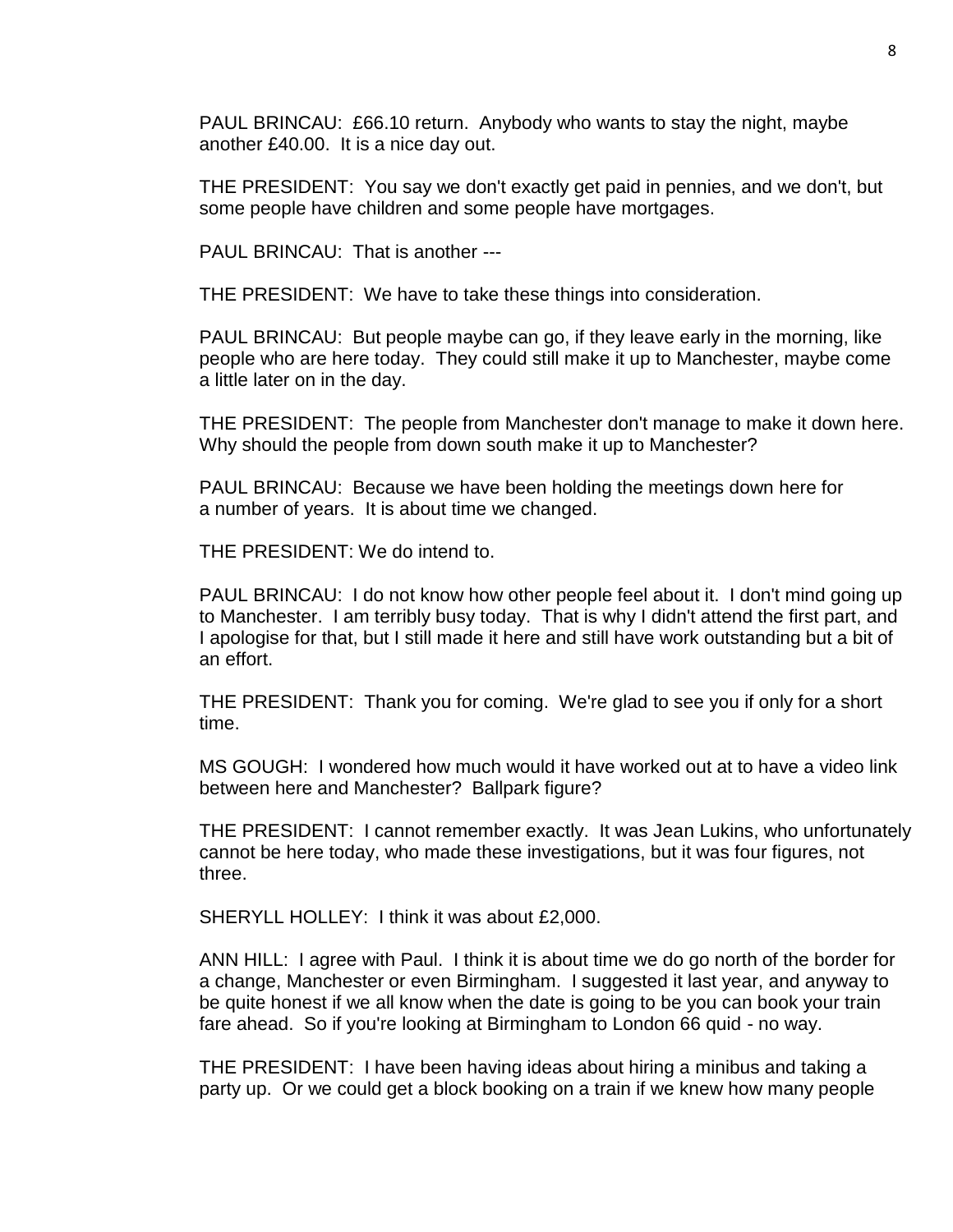PAUL BRINCAU: £66.10 return. Anybody who wants to stay the night, maybe another £40.00. It is a nice day out.

THE PRESIDENT: You say we don't exactly get paid in pennies, and we don't, but some people have children and some people have mortgages.

PAUL BRINCAU: That is another ---

THE PRESIDENT: We have to take these things into consideration.

PAUL BRINCAU: But people maybe can go, if they leave early in the morning, like people who are here today. They could still make it up to Manchester, maybe come a little later on in the day.

THE PRESIDENT: The people from Manchester don't manage to make it down here. Why should the people from down south make it up to Manchester?

PAUL BRINCAU: Because we have been holding the meetings down here for a number of years. It is about time we changed.

THE PRESIDENT: We do intend to.

PAUL BRINCAU: I do not know how other people feel about it. I don't mind going up to Manchester. I am terribly busy today. That is why I didn't attend the first part, and I apologise for that, but I still made it here and still have work outstanding but a bit of an effort.

THE PRESIDENT: Thank you for coming. We're glad to see you if only for a short time.

MS GOUGH: I wondered how much would it have worked out at to have a video link between here and Manchester? Ballpark figure?

THE PRESIDENT: I cannot remember exactly. It was Jean Lukins, who unfortunately cannot be here today, who made these investigations, but it was four figures, not three.

SHERYLL HOLLEY: I think it was about £2,000.

ANN HILL: I agree with Paul. I think it is about time we do go north of the border for a change, Manchester or even Birmingham. I suggested it last year, and anyway to be quite honest if we all know when the date is going to be you can book your train fare ahead. So if you're looking at Birmingham to London 66 quid - no way.

THE PRESIDENT: I have been having ideas about hiring a minibus and taking a party up. Or we could get a block booking on a train if we knew how many people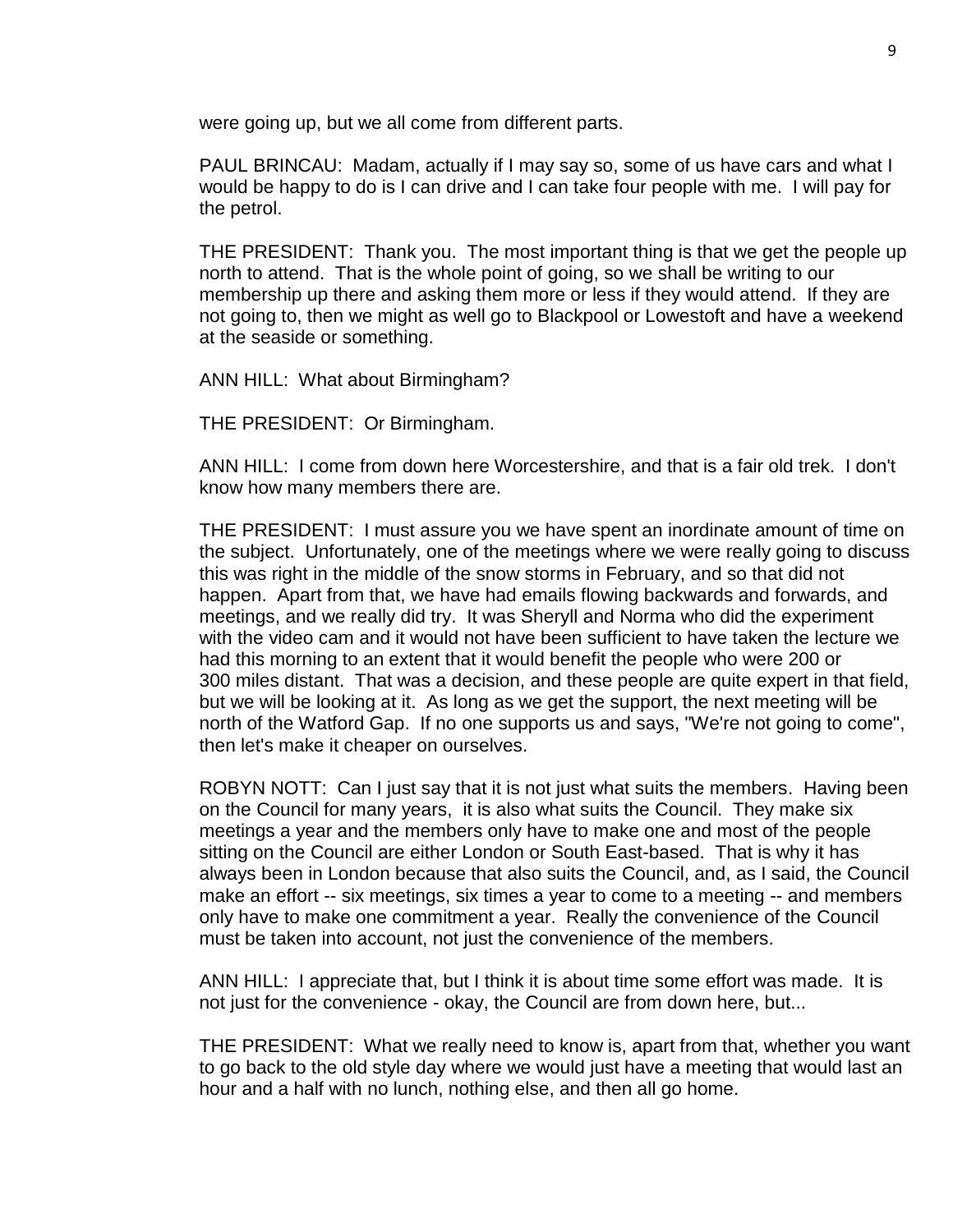were going up, but we all come from different parts.

PAUL BRINCAU: Madam, actually if I may say so, some of us have cars and what I would be happy to do is I can drive and I can take four people with me. I will pay for the petrol.

THE PRESIDENT: Thank you. The most important thing is that we get the people up north to attend. That is the whole point of going, so we shall be writing to our membership up there and asking them more or less if they would attend. If they are not going to, then we might as well go to Blackpool or Lowestoft and have a weekend at the seaside or something.

ANN HILL: What about Birmingham?

THE PRESIDENT: Or Birmingham.

ANN HILL: I come from down here Worcestershire, and that is a fair old trek. I don't know how many members there are.

THE PRESIDENT: I must assure you we have spent an inordinate amount of time on the subject. Unfortunately, one of the meetings where we were really going to discuss this was right in the middle of the snow storms in February, and so that did not happen. Apart from that, we have had emails flowing backwards and forwards, and meetings, and we really did try. It was Sheryll and Norma who did the experiment with the video cam and it would not have been sufficient to have taken the lecture we had this morning to an extent that it would benefit the people who were 200 or 300 miles distant. That was a decision, and these people are quite expert in that field, but we will be looking at it. As long as we get the support, the next meeting will be north of the Watford Gap. If no one supports us and says, "We're not going to come", then let's make it cheaper on ourselves.

ROBYN NOTT: Can I just say that it is not just what suits the members. Having been on the Council for many years, it is also what suits the Council. They make six meetings a year and the members only have to make one and most of the people sitting on the Council are either London or South East-based. That is why it has always been in London because that also suits the Council, and, as I said, the Council make an effort -- six meetings, six times a year to come to a meeting -- and members only have to make one commitment a year. Really the convenience of the Council must be taken into account, not just the convenience of the members.

ANN HILL: I appreciate that, but I think it is about time some effort was made. It is not just for the convenience - okay, the Council are from down here, but...

THE PRESIDENT: What we really need to know is, apart from that, whether you want to go back to the old style day where we would just have a meeting that would last an hour and a half with no lunch, nothing else, and then all go home.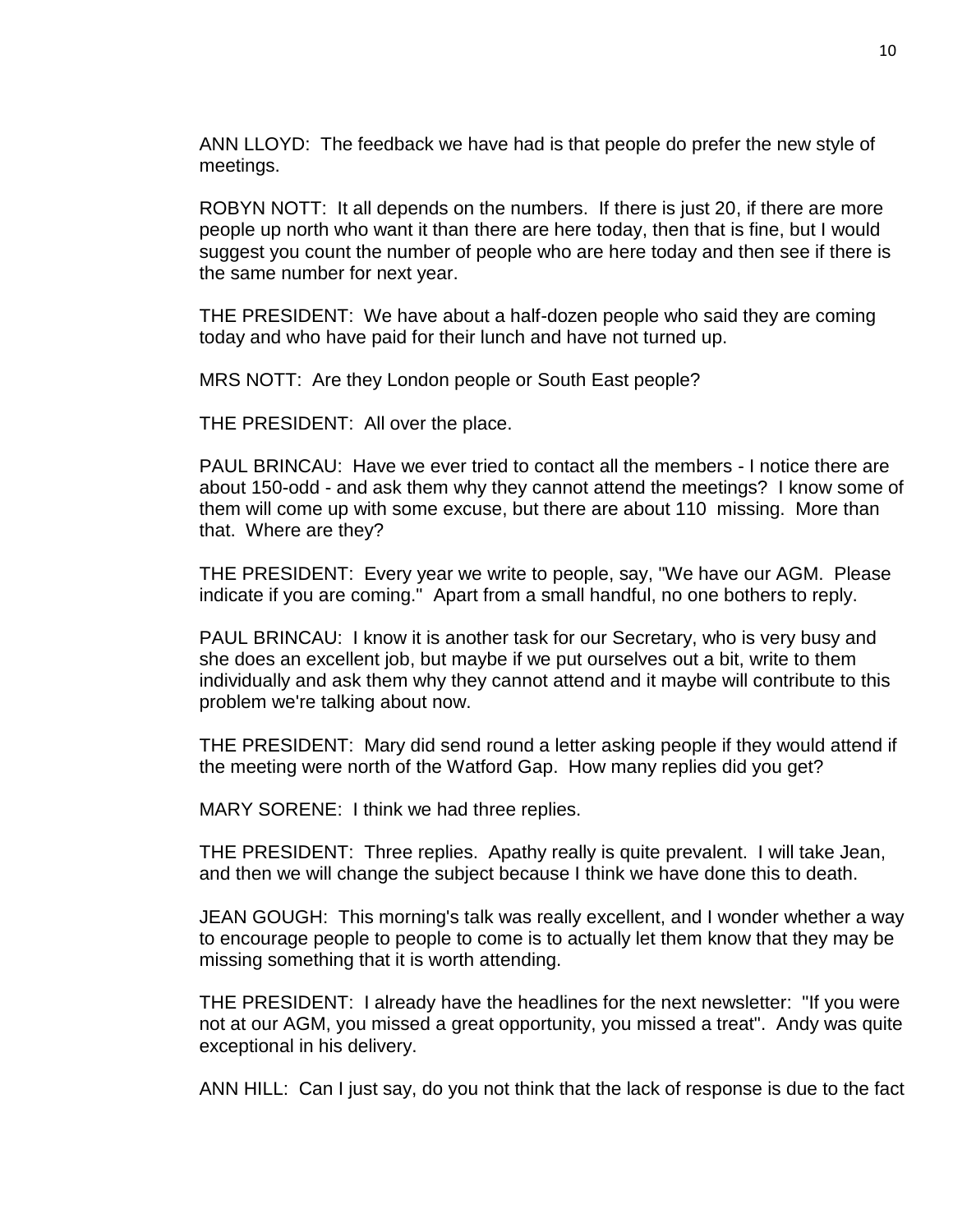ANN LLOYD: The feedback we have had is that people do prefer the new style of meetings.

ROBYN NOTT: It all depends on the numbers. If there is just 20, if there are more people up north who want it than there are here today, then that is fine, but I would suggest you count the number of people who are here today and then see if there is the same number for next year.

THE PRESIDENT: We have about a half-dozen people who said they are coming today and who have paid for their lunch and have not turned up.

MRS NOTT: Are they London people or South East people?

THE PRESIDENT: All over the place.

PAUL BRINCAU: Have we ever tried to contact all the members - I notice there are about 150-odd - and ask them why they cannot attend the meetings? I know some of them will come up with some excuse, but there are about 110 missing. More than that. Where are they?

THE PRESIDENT: Every year we write to people, say, "We have our AGM. Please indicate if you are coming." Apart from a small handful, no one bothers to reply.

PAUL BRINCAU: I know it is another task for our Secretary, who is very busy and she does an excellent job, but maybe if we put ourselves out a bit, write to them individually and ask them why they cannot attend and it maybe will contribute to this problem we're talking about now.

THE PRESIDENT: Mary did send round a letter asking people if they would attend if the meeting were north of the Watford Gap. How many replies did you get?

MARY SORENE: I think we had three replies.

THE PRESIDENT: Three replies. Apathy really is quite prevalent. I will take Jean, and then we will change the subject because I think we have done this to death.

JEAN GOUGH: This morning's talk was really excellent, and I wonder whether a way to encourage people to people to come is to actually let them know that they may be missing something that it is worth attending.

THE PRESIDENT: I already have the headlines for the next newsletter: "If you were not at our AGM, you missed a great opportunity, you missed a treat". Andy was quite exceptional in his delivery.

ANN HILL: Can I just say, do you not think that the lack of response is due to the fact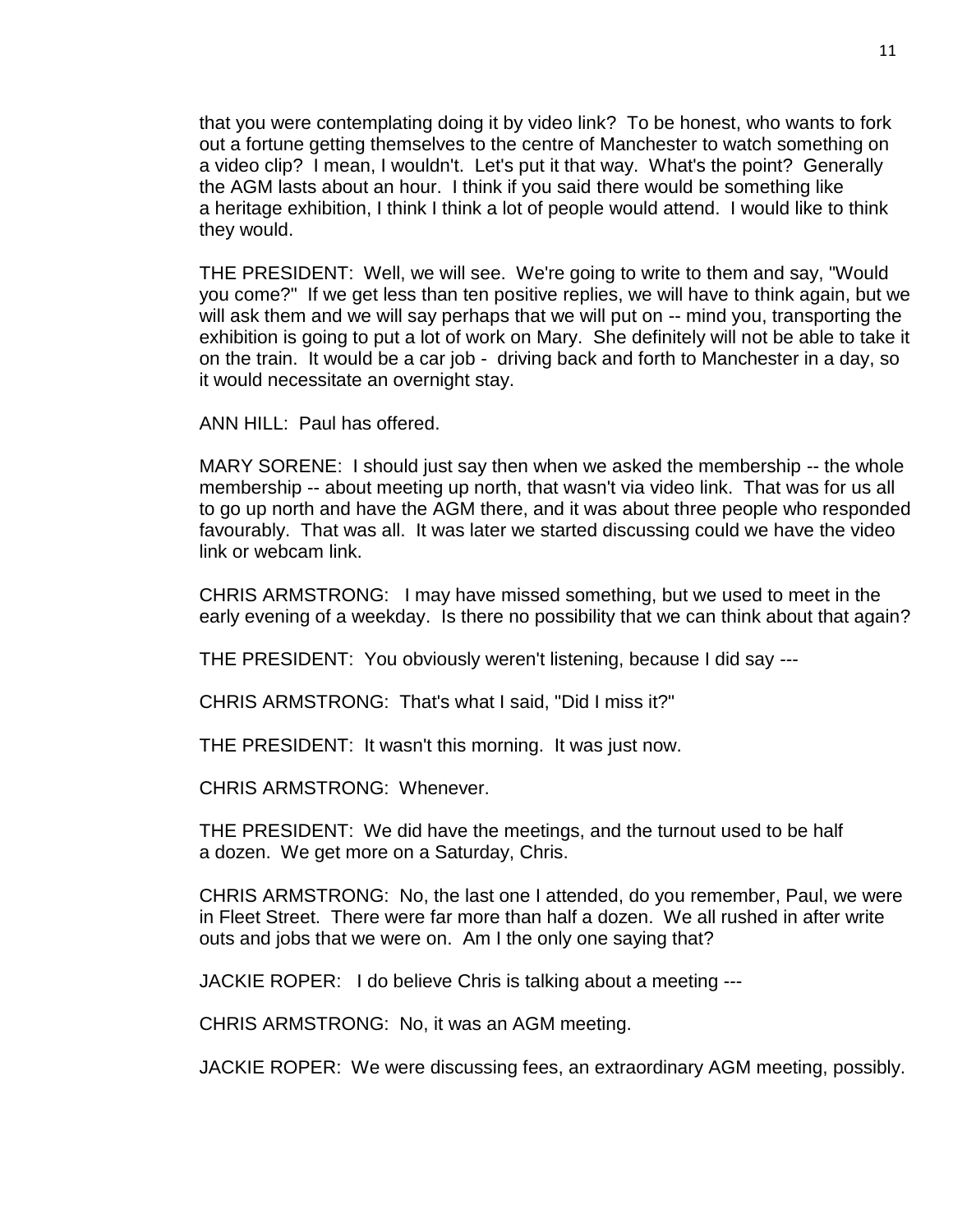that you were contemplating doing it by video link? To be honest, who wants to fork out a fortune getting themselves to the centre of Manchester to watch something on a video clip? I mean, I wouldn't. Let's put it that way. What's the point? Generally the AGM lasts about an hour. I think if you said there would be something like a heritage exhibition, I think I think a lot of people would attend. I would like to think they would.

THE PRESIDENT: Well, we will see. We're going to write to them and say, "Would you come?" If we get less than ten positive replies, we will have to think again, but we will ask them and we will say perhaps that we will put on -- mind you, transporting the exhibition is going to put a lot of work on Mary. She definitely will not be able to take it on the train. It would be a car job - driving back and forth to Manchester in a day, so it would necessitate an overnight stay.

ANN HILL: Paul has offered.

MARY SORENE: I should just say then when we asked the membership -- the whole membership -- about meeting up north, that wasn't via video link. That was for us all to go up north and have the AGM there, and it was about three people who responded favourably. That was all. It was later we started discussing could we have the video link or webcam link.

CHRIS ARMSTRONG: I may have missed something, but we used to meet in the early evening of a weekday. Is there no possibility that we can think about that again?

THE PRESIDENT: You obviously weren't listening, because I did say ---

CHRIS ARMSTRONG: That's what I said, "Did I miss it?"

THE PRESIDENT: It wasn't this morning. It was just now.

CHRIS ARMSTRONG: Whenever.

THE PRESIDENT: We did have the meetings, and the turnout used to be half a dozen. We get more on a Saturday, Chris.

CHRIS ARMSTRONG: No, the last one I attended, do you remember, Paul, we were in Fleet Street. There were far more than half a dozen. We all rushed in after write outs and jobs that we were on. Am I the only one saying that?

JACKIE ROPER: I do believe Chris is talking about a meeting ---

CHRIS ARMSTRONG: No, it was an AGM meeting.

JACKIE ROPER: We were discussing fees, an extraordinary AGM meeting, possibly.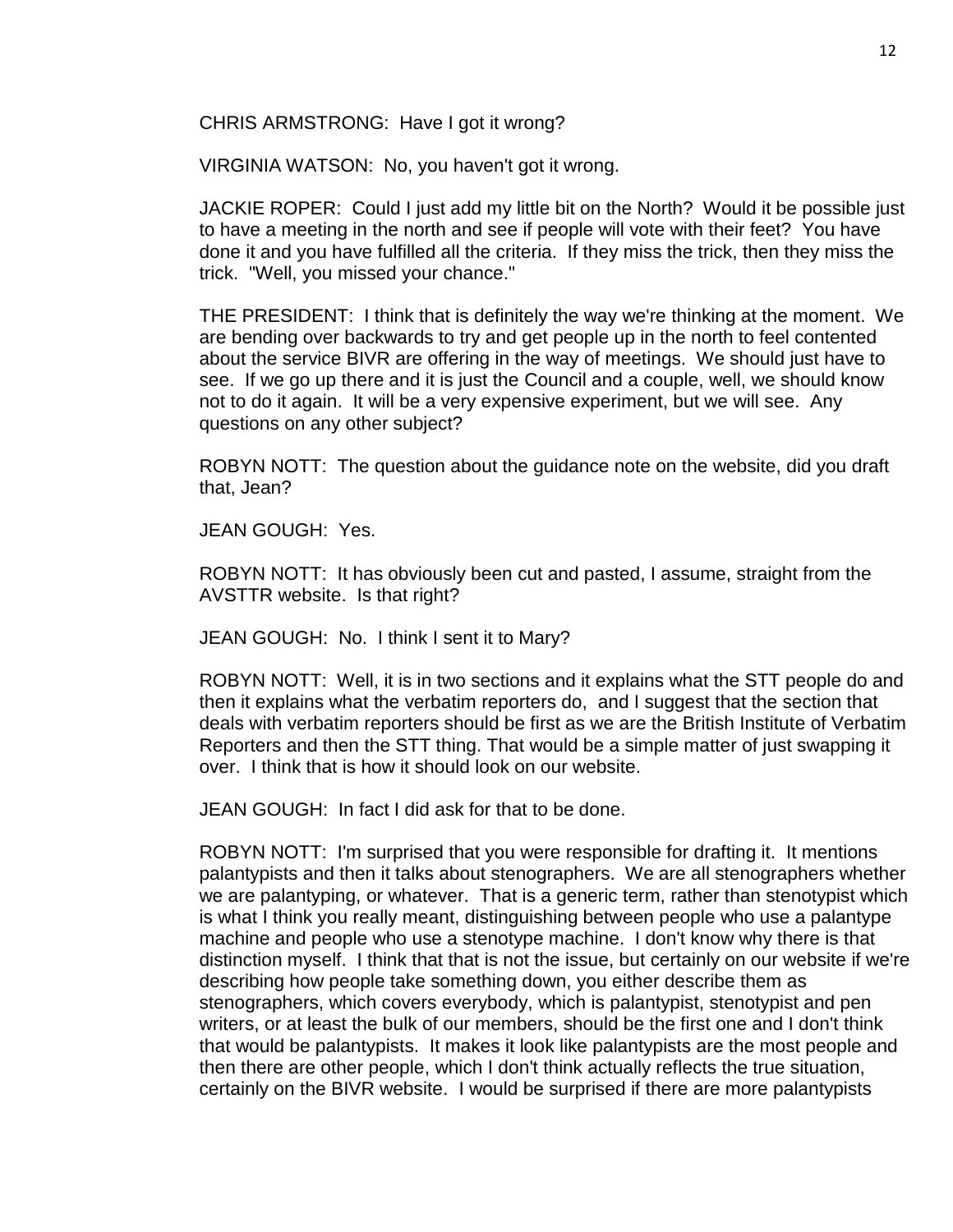CHRIS ARMSTRONG: Have I got it wrong?

VIRGINIA WATSON: No, you haven't got it wrong.

JACKIE ROPER: Could I just add my little bit on the North? Would it be possible just to have a meeting in the north and see if people will vote with their feet? You have done it and you have fulfilled all the criteria. If they miss the trick, then they miss the trick. "Well, you missed your chance."

THE PRESIDENT: I think that is definitely the way we're thinking at the moment. We are bending over backwards to try and get people up in the north to feel contented about the service BIVR are offering in the way of meetings. We should just have to see. If we go up there and it is just the Council and a couple, well, we should know not to do it again. It will be a very expensive experiment, but we will see. Any questions on any other subject?

ROBYN NOTT: The question about the guidance note on the website, did you draft that, Jean?

JEAN GOUGH: Yes.

ROBYN NOTT: It has obviously been cut and pasted, I assume, straight from the AVSTTR website. Is that right?

JEAN GOUGH: No. I think I sent it to Mary?

ROBYN NOTT: Well, it is in two sections and it explains what the STT people do and then it explains what the verbatim reporters do, and I suggest that the section that deals with verbatim reporters should be first as we are the British Institute of Verbatim Reporters and then the STT thing. That would be a simple matter of just swapping it over. I think that is how it should look on our website.

JEAN GOUGH: In fact I did ask for that to be done.

ROBYN NOTT: I'm surprised that you were responsible for drafting it. It mentions palantypists and then it talks about stenographers. We are all stenographers whether we are palantyping, or whatever. That is a generic term, rather than stenotypist which is what I think you really meant, distinguishing between people who use a palantype machine and people who use a stenotype machine. I don't know why there is that distinction myself. I think that that is not the issue, but certainly on our website if we're describing how people take something down, you either describe them as stenographers, which covers everybody, which is palantypist, stenotypist and pen writers, or at least the bulk of our members, should be the first one and I don't think that would be palantypists. It makes it look like palantypists are the most people and then there are other people, which I don't think actually reflects the true situation, certainly on the BIVR website. I would be surprised if there are more palantypists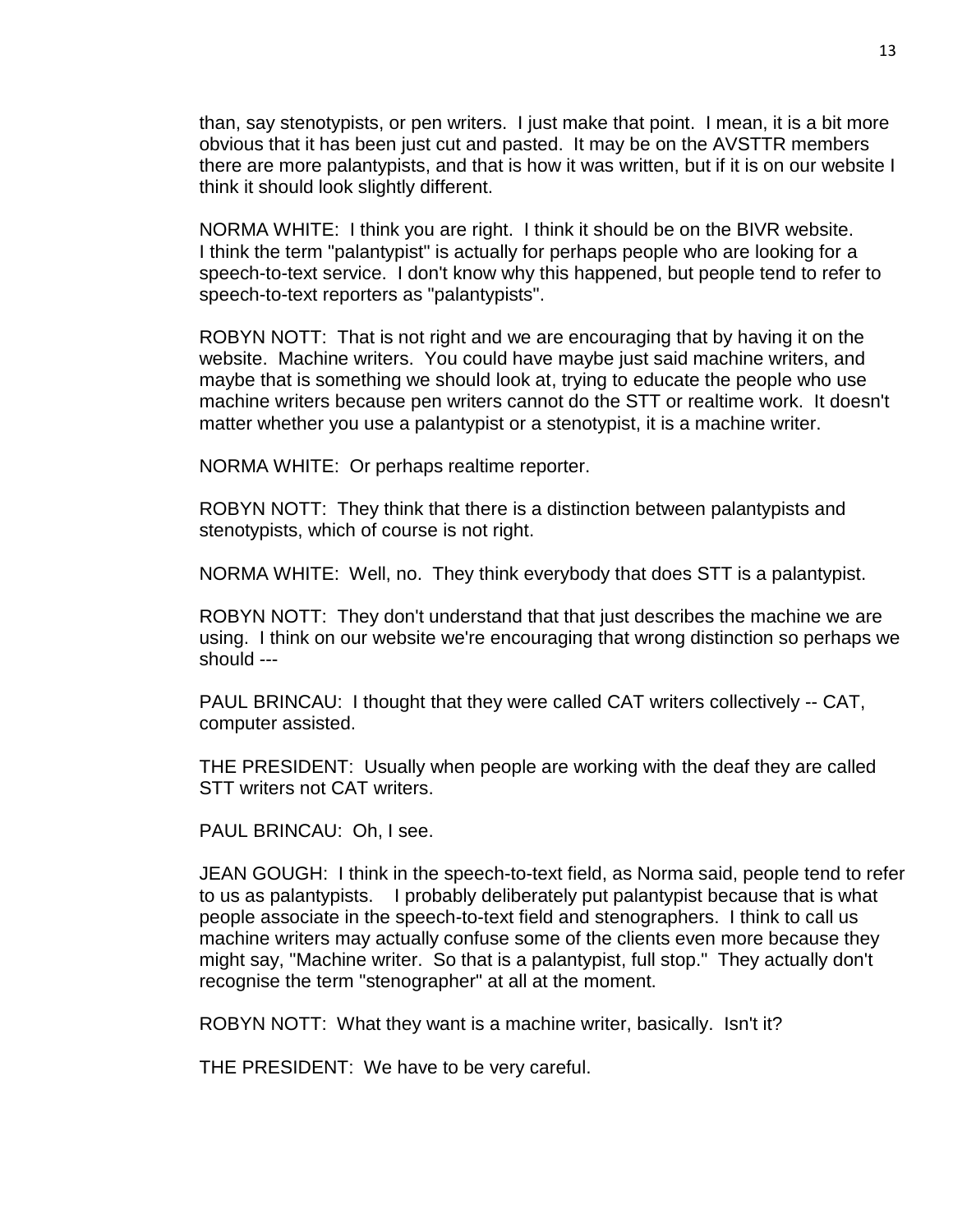than, say stenotypists, or pen writers. I just make that point. I mean, it is a bit more obvious that it has been just cut and pasted. It may be on the AVSTTR members there are more palantypists, and that is how it was written, but if it is on our website I think it should look slightly different.

NORMA WHITE: I think you are right. I think it should be on the BIVR website. I think the term "palantypist" is actually for perhaps people who are looking for a speech-to-text service. I don't know why this happened, but people tend to refer to speech-to-text reporters as "palantypists".

ROBYN NOTT: That is not right and we are encouraging that by having it on the website. Machine writers. You could have maybe just said machine writers, and maybe that is something we should look at, trying to educate the people who use machine writers because pen writers cannot do the STT or realtime work. It doesn't matter whether you use a palantypist or a stenotypist, it is a machine writer.

NORMA WHITE: Or perhaps realtime reporter.

ROBYN NOTT: They think that there is a distinction between palantypists and stenotypists, which of course is not right.

NORMA WHITE: Well, no. They think everybody that does STT is a palantypist.

ROBYN NOTT: They don't understand that that just describes the machine we are using. I think on our website we're encouraging that wrong distinction so perhaps we should ---

PAUL BRINCAU: I thought that they were called CAT writers collectively -- CAT, computer assisted.

THE PRESIDENT: Usually when people are working with the deaf they are called STT writers not CAT writers.

PAUL BRINCAU: Oh, I see.

JEAN GOUGH: I think in the speech-to-text field, as Norma said, people tend to refer to us as palantypists. I probably deliberately put palantypist because that is what people associate in the speech-to-text field and stenographers. I think to call us machine writers may actually confuse some of the clients even more because they might say, "Machine writer. So that is a palantypist, full stop." They actually don't recognise the term "stenographer" at all at the moment.

ROBYN NOTT: What they want is a machine writer, basically. Isn't it?

THE PRESIDENT: We have to be very careful.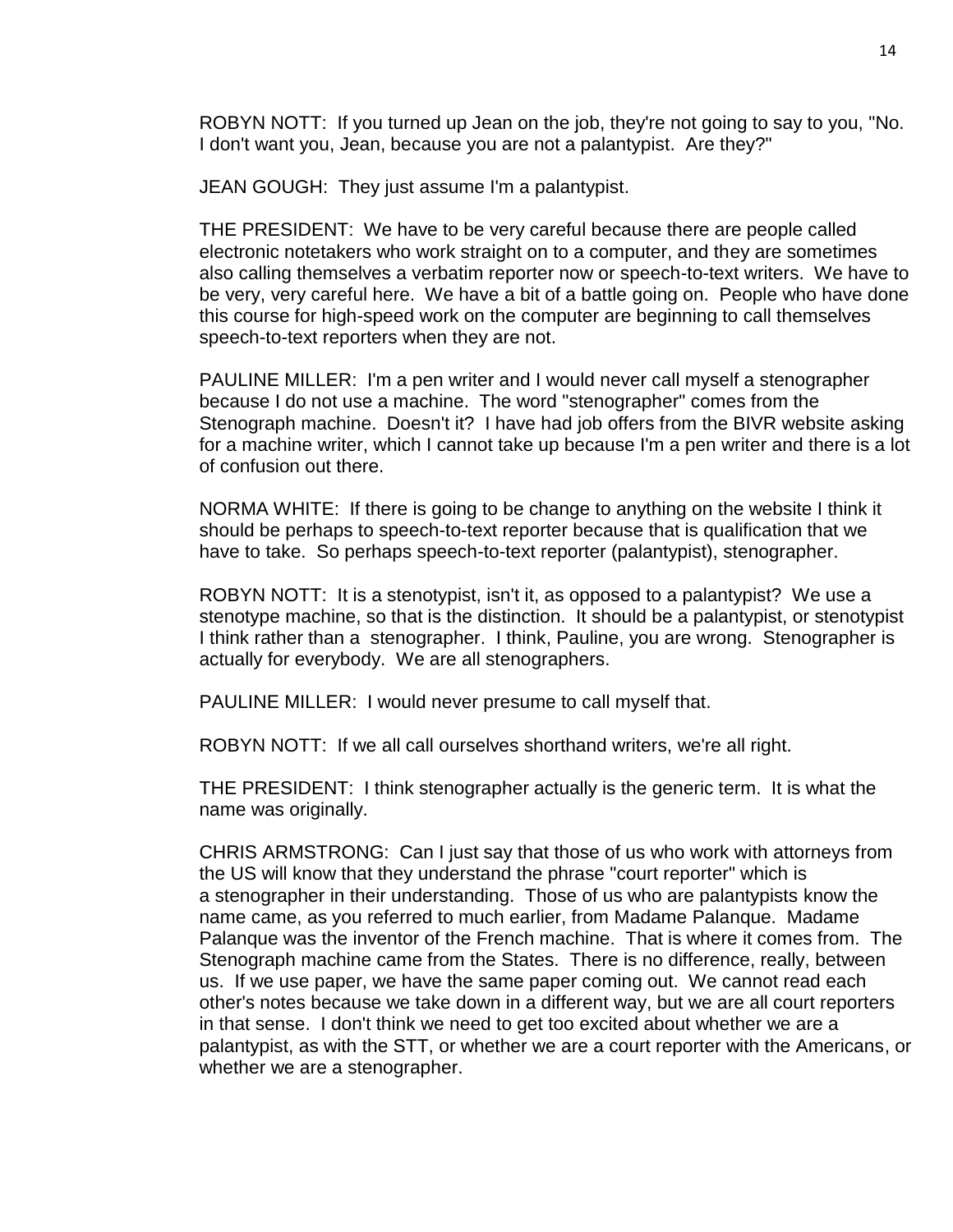ROBYN NOTT: If you turned up Jean on the job, they're not going to say to you, "No. I don't want you, Jean, because you are not a palantypist. Are they?"

JEAN GOUGH: They just assume I'm a palantypist.

THE PRESIDENT: We have to be very careful because there are people called electronic notetakers who work straight on to a computer, and they are sometimes also calling themselves a verbatim reporter now or speech-to-text writers. We have to be very, very careful here. We have a bit of a battle going on. People who have done this course for high-speed work on the computer are beginning to call themselves speech-to-text reporters when they are not.

PAULINE MILLER: I'm a pen writer and I would never call myself a stenographer because I do not use a machine. The word "stenographer" comes from the Stenograph machine. Doesn't it? I have had job offers from the BIVR website asking for a machine writer, which I cannot take up because I'm a pen writer and there is a lot of confusion out there.

NORMA WHITE: If there is going to be change to anything on the website I think it should be perhaps to speech-to-text reporter because that is qualification that we have to take. So perhaps speech-to-text reporter (palantypist), stenographer.

ROBYN NOTT: It is a stenotypist, isn't it, as opposed to a palantypist? We use a stenotype machine, so that is the distinction. It should be a palantypist, or stenotypist I think rather than a stenographer. I think, Pauline, you are wrong. Stenographer is actually for everybody. We are all stenographers.

PAULINE MILLER: I would never presume to call myself that.

ROBYN NOTT: If we all call ourselves shorthand writers, we're all right.

THE PRESIDENT: I think stenographer actually is the generic term. It is what the name was originally.

CHRIS ARMSTRONG: Can I just say that those of us who work with attorneys from the US will know that they understand the phrase "court reporter" which is a stenographer in their understanding. Those of us who are palantypists know the name came, as you referred to much earlier, from Madame Palanque. Madame Palanque was the inventor of the French machine. That is where it comes from. The Stenograph machine came from the States. There is no difference, really, between us. If we use paper, we have the same paper coming out. We cannot read each other's notes because we take down in a different way, but we are all court reporters in that sense. I don't think we need to get too excited about whether we are a palantypist, as with the STT, or whether we are a court reporter with the Americans, or whether we are a stenographer.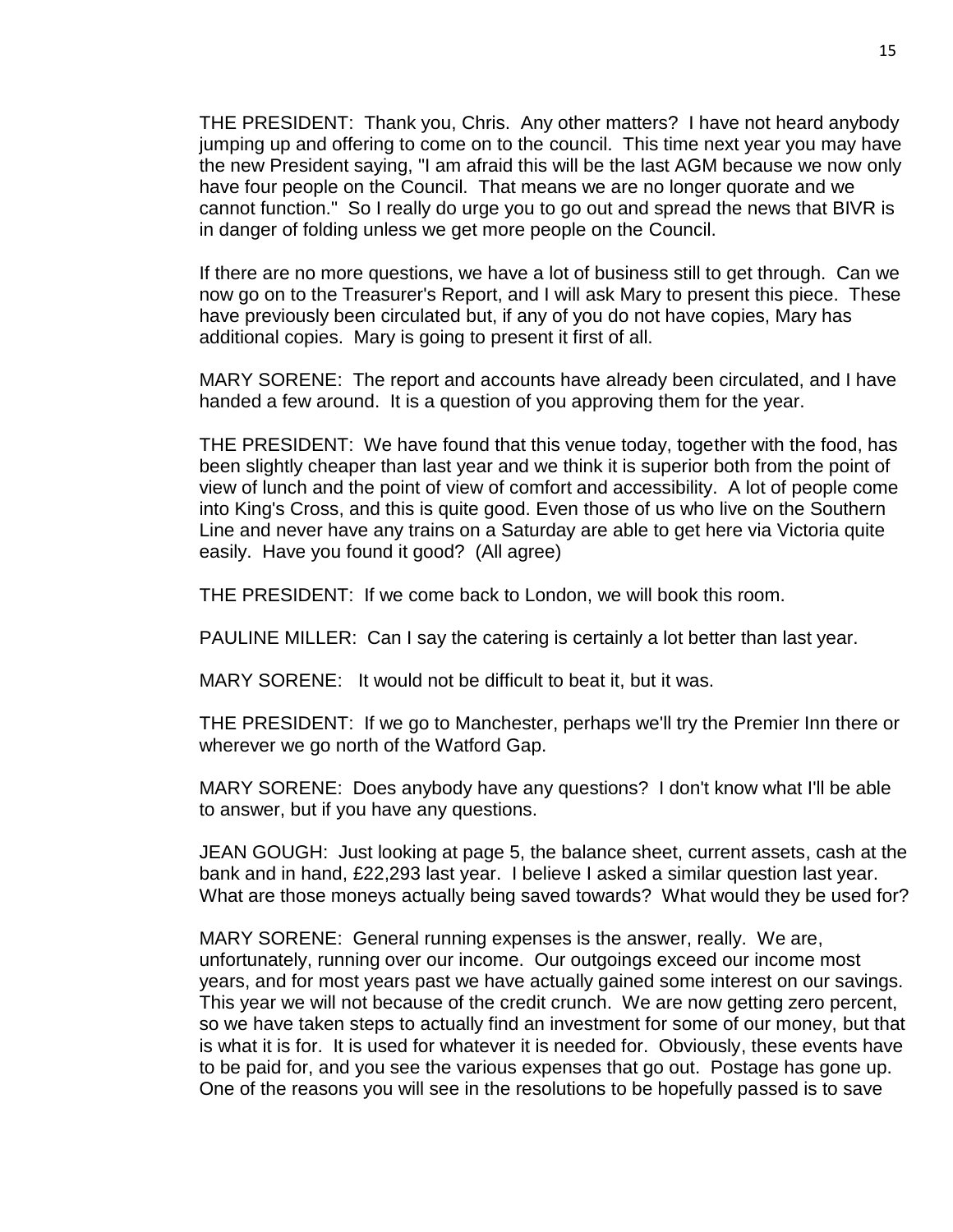THE PRESIDENT: Thank you, Chris. Any other matters? I have not heard anybody jumping up and offering to come on to the council. This time next year you may have the new President saying, "I am afraid this will be the last AGM because we now only have four people on the Council. That means we are no longer quorate and we cannot function." So I really do urge you to go out and spread the news that BIVR is in danger of folding unless we get more people on the Council.

If there are no more questions, we have a lot of business still to get through. Can we now go on to the Treasurer's Report, and I will ask Mary to present this piece. These have previously been circulated but, if any of you do not have copies, Mary has additional copies. Mary is going to present it first of all.

MARY SORENE: The report and accounts have already been circulated, and I have handed a few around. It is a question of you approving them for the year.

THE PRESIDENT: We have found that this venue today, together with the food, has been slightly cheaper than last year and we think it is superior both from the point of view of lunch and the point of view of comfort and accessibility. A lot of people come into King's Cross, and this is quite good. Even those of us who live on the Southern Line and never have any trains on a Saturday are able to get here via Victoria quite easily. Have you found it good? (All agree)

THE PRESIDENT: If we come back to London, we will book this room.

PAULINE MILLER: Can I say the catering is certainly a lot better than last year.

MARY SORENE: It would not be difficult to beat it, but it was.

THE PRESIDENT: If we go to Manchester, perhaps we'll try the Premier Inn there or wherever we go north of the Watford Gap.

MARY SORENE: Does anybody have any questions? I don't know what I'll be able to answer, but if you have any questions.

JEAN GOUGH: Just looking at page 5, the balance sheet, current assets, cash at the bank and in hand, £22,293 last year. I believe I asked a similar question last year. What are those moneys actually being saved towards? What would they be used for?

MARY SORENE: General running expenses is the answer, really. We are, unfortunately, running over our income. Our outgoings exceed our income most years, and for most years past we have actually gained some interest on our savings. This year we will not because of the credit crunch. We are now getting zero percent, so we have taken steps to actually find an investment for some of our money, but that is what it is for. It is used for whatever it is needed for. Obviously, these events have to be paid for, and you see the various expenses that go out. Postage has gone up. One of the reasons you will see in the resolutions to be hopefully passed is to save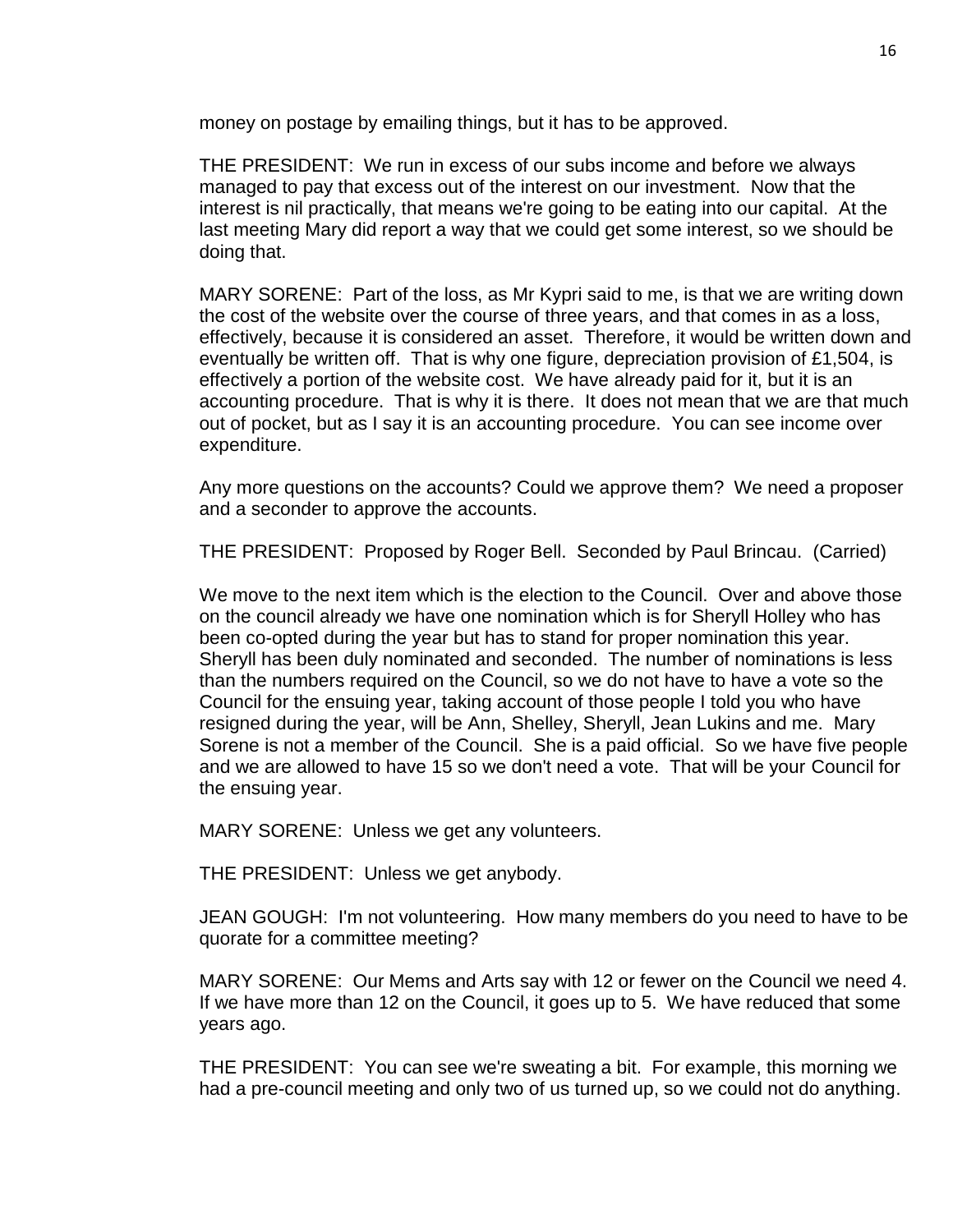money on postage by emailing things, but it has to be approved.

THE PRESIDENT: We run in excess of our subs income and before we always managed to pay that excess out of the interest on our investment. Now that the interest is nil practically, that means we're going to be eating into our capital. At the last meeting Mary did report a way that we could get some interest, so we should be doing that.

MARY SORENE: Part of the loss, as Mr Kypri said to me, is that we are writing down the cost of the website over the course of three years, and that comes in as a loss, effectively, because it is considered an asset. Therefore, it would be written down and eventually be written off. That is why one figure, depreciation provision of £1,504, is effectively a portion of the website cost. We have already paid for it, but it is an accounting procedure. That is why it is there. It does not mean that we are that much out of pocket, but as I say it is an accounting procedure. You can see income over expenditure.

Any more questions on the accounts? Could we approve them? We need a proposer and a seconder to approve the accounts.

THE PRESIDENT: Proposed by Roger Bell. Seconded by Paul Brincau. (Carried)

We move to the next item which is the election to the Council. Over and above those on the council already we have one nomination which is for Sheryll Holley who has been co-opted during the year but has to stand for proper nomination this year. Sheryll has been duly nominated and seconded. The number of nominations is less than the numbers required on the Council, so we do not have to have a vote so the Council for the ensuing year, taking account of those people I told you who have resigned during the year, will be Ann, Shelley, Sheryll, Jean Lukins and me. Mary Sorene is not a member of the Council. She is a paid official. So we have five people and we are allowed to have 15 so we don't need a vote. That will be your Council for the ensuing year.

MARY SORENE: Unless we get any volunteers.

THE PRESIDENT: Unless we get anybody.

JEAN GOUGH: I'm not volunteering. How many members do you need to have to be quorate for a committee meeting?

MARY SORENE: Our Mems and Arts say with 12 or fewer on the Council we need 4. If we have more than 12 on the Council, it goes up to 5. We have reduced that some years ago.

THE PRESIDENT: You can see we're sweating a bit. For example, this morning we had a pre-council meeting and only two of us turned up, so we could not do anything.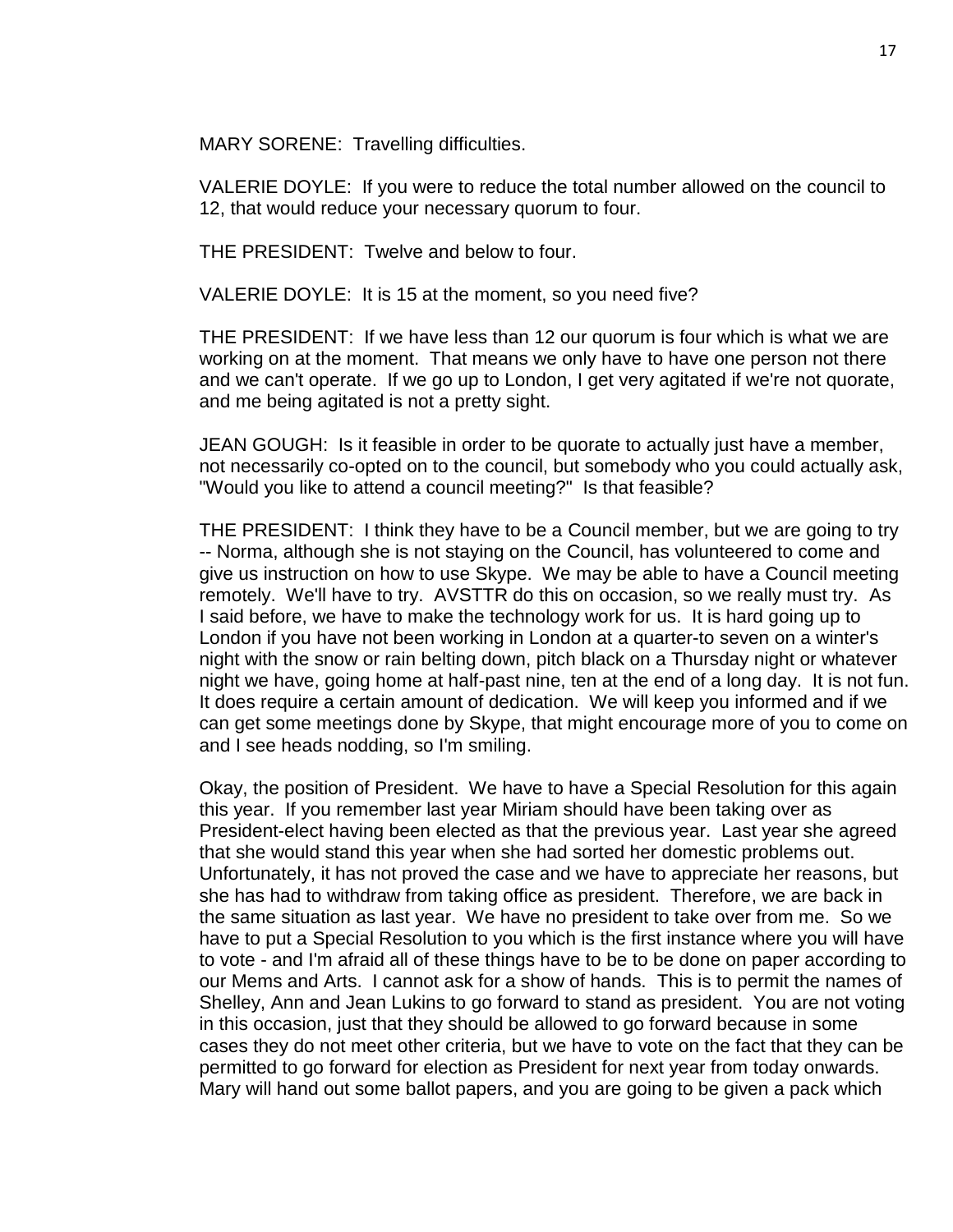MARY SORENE: Travelling difficulties.

VALERIE DOYLE: If you were to reduce the total number allowed on the council to 12, that would reduce your necessary quorum to four.

THE PRESIDENT: Twelve and below to four.

VALERIE DOYLE: It is 15 at the moment, so you need five?

THE PRESIDENT: If we have less than 12 our quorum is four which is what we are working on at the moment. That means we only have to have one person not there and we can't operate. If we go up to London, I get very agitated if we're not quorate, and me being agitated is not a pretty sight.

JEAN GOUGH: Is it feasible in order to be quorate to actually just have a member, not necessarily co-opted on to the council, but somebody who you could actually ask, "Would you like to attend a council meeting?" Is that feasible?

THE PRESIDENT: I think they have to be a Council member, but we are going to try -- Norma, although she is not staying on the Council, has volunteered to come and give us instruction on how to use Skype. We may be able to have a Council meeting remotely. We'll have to try. AVSTTR do this on occasion, so we really must try. As I said before, we have to make the technology work for us. It is hard going up to London if you have not been working in London at a quarter-to seven on a winter's night with the snow or rain belting down, pitch black on a Thursday night or whatever night we have, going home at half-past nine, ten at the end of a long day. It is not fun. It does require a certain amount of dedication. We will keep you informed and if we can get some meetings done by Skype, that might encourage more of you to come on and I see heads nodding, so I'm smiling.

Okay, the position of President. We have to have a Special Resolution for this again this year. If you remember last year Miriam should have been taking over as President-elect having been elected as that the previous year. Last year she agreed that she would stand this year when she had sorted her domestic problems out. Unfortunately, it has not proved the case and we have to appreciate her reasons, but she has had to withdraw from taking office as president. Therefore, we are back in the same situation as last year. We have no president to take over from me. So we have to put a Special Resolution to you which is the first instance where you will have to vote - and I'm afraid all of these things have to be to be done on paper according to our Mems and Arts. I cannot ask for a show of hands. This is to permit the names of Shelley, Ann and Jean Lukins to go forward to stand as president. You are not voting in this occasion, just that they should be allowed to go forward because in some cases they do not meet other criteria, but we have to vote on the fact that they can be permitted to go forward for election as President for next year from today onwards. Mary will hand out some ballot papers, and you are going to be given a pack which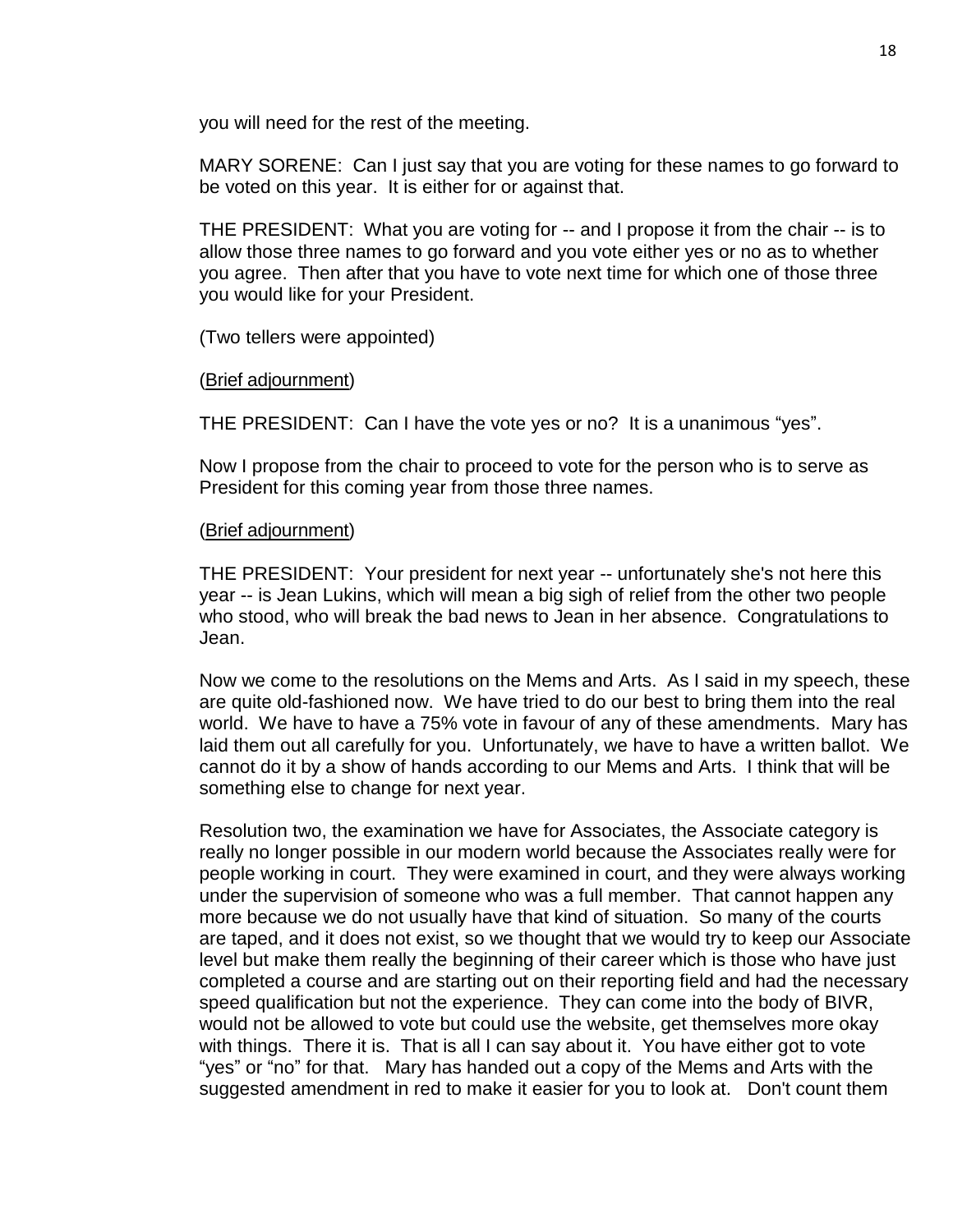you will need for the rest of the meeting.

MARY SORENE: Can I just say that you are voting for these names to go forward to be voted on this year. It is either for or against that.

THE PRESIDENT: What you are voting for -- and I propose it from the chair -- is to allow those three names to go forward and you vote either yes or no as to whether you agree. Then after that you have to vote next time for which one of those three you would like for your President.

(Two tellers were appointed)

### (Brief adjournment)

THE PRESIDENT: Can I have the vote yes or no? It is a unanimous "yes".

Now I propose from the chair to proceed to vote for the person who is to serve as President for this coming year from those three names.

### (Brief adjournment)

THE PRESIDENT: Your president for next year -- unfortunately she's not here this year -- is Jean Lukins, which will mean a big sigh of relief from the other two people who stood, who will break the bad news to Jean in her absence. Congratulations to Jean.

Now we come to the resolutions on the Mems and Arts. As I said in my speech, these are quite old-fashioned now. We have tried to do our best to bring them into the real world. We have to have a 75% vote in favour of any of these amendments. Mary has laid them out all carefully for you. Unfortunately, we have to have a written ballot. We cannot do it by a show of hands according to our Mems and Arts. I think that will be something else to change for next year.

Resolution two, the examination we have for Associates, the Associate category is really no longer possible in our modern world because the Associates really were for people working in court. They were examined in court, and they were always working under the supervision of someone who was a full member. That cannot happen any more because we do not usually have that kind of situation. So many of the courts are taped, and it does not exist, so we thought that we would try to keep our Associate level but make them really the beginning of their career which is those who have just completed a course and are starting out on their reporting field and had the necessary speed qualification but not the experience. They can come into the body of BIVR, would not be allowed to vote but could use the website, get themselves more okay with things. There it is. That is all I can say about it. You have either got to vote "yes" or "no" for that. Mary has handed out a copy of the Mems and Arts with the suggested amendment in red to make it easier for you to look at. Don't count them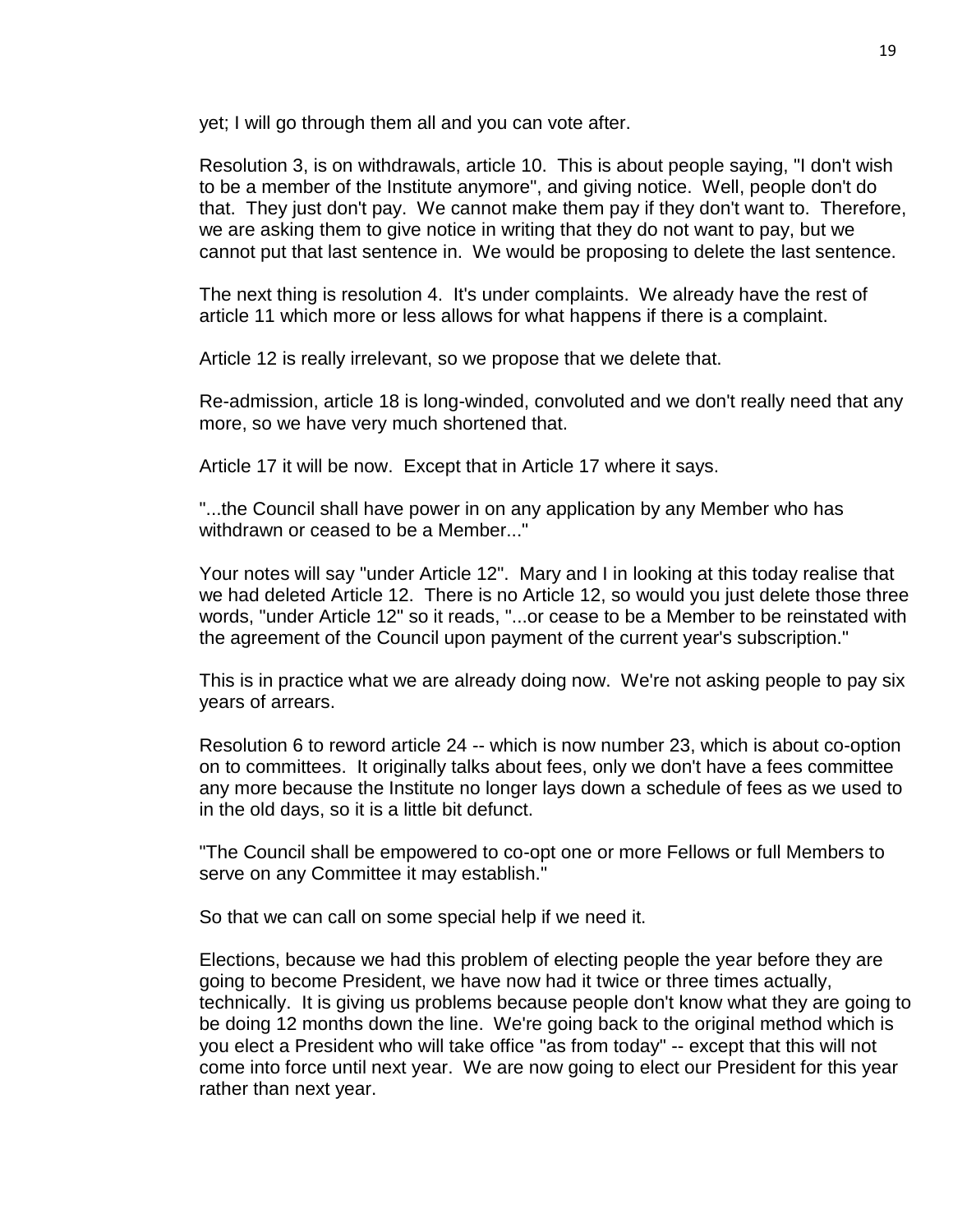yet; I will go through them all and you can vote after.

Resolution 3, is on withdrawals, article 10. This is about people saying, "I don't wish to be a member of the Institute anymore", and giving notice. Well, people don't do that. They just don't pay. We cannot make them pay if they don't want to. Therefore, we are asking them to give notice in writing that they do not want to pay, but we cannot put that last sentence in. We would be proposing to delete the last sentence.

The next thing is resolution 4. It's under complaints. We already have the rest of article 11 which more or less allows for what happens if there is a complaint.

Article 12 is really irrelevant, so we propose that we delete that.

Re-admission, article 18 is long-winded, convoluted and we don't really need that any more, so we have very much shortened that.

Article 17 it will be now. Except that in Article 17 where it says.

"...the Council shall have power in on any application by any Member who has withdrawn or ceased to be a Member..."

Your notes will say "under Article 12". Mary and I in looking at this today realise that we had deleted Article 12. There is no Article 12, so would you just delete those three words, "under Article 12" so it reads, "...or cease to be a Member to be reinstated with the agreement of the Council upon payment of the current year's subscription."

This is in practice what we are already doing now. We're not asking people to pay six years of arrears.

Resolution 6 to reword article 24 -- which is now number 23, which is about co-option on to committees. It originally talks about fees, only we don't have a fees committee any more because the Institute no longer lays down a schedule of fees as we used to in the old days, so it is a little bit defunct.

"The Council shall be empowered to co-opt one or more Fellows or full Members to serve on any Committee it may establish."

So that we can call on some special help if we need it.

Elections, because we had this problem of electing people the year before they are going to become President, we have now had it twice or three times actually, technically. It is giving us problems because people don't know what they are going to be doing 12 months down the line. We're going back to the original method which is you elect a President who will take office "as from today" -- except that this will not come into force until next year. We are now going to elect our President for this year rather than next year.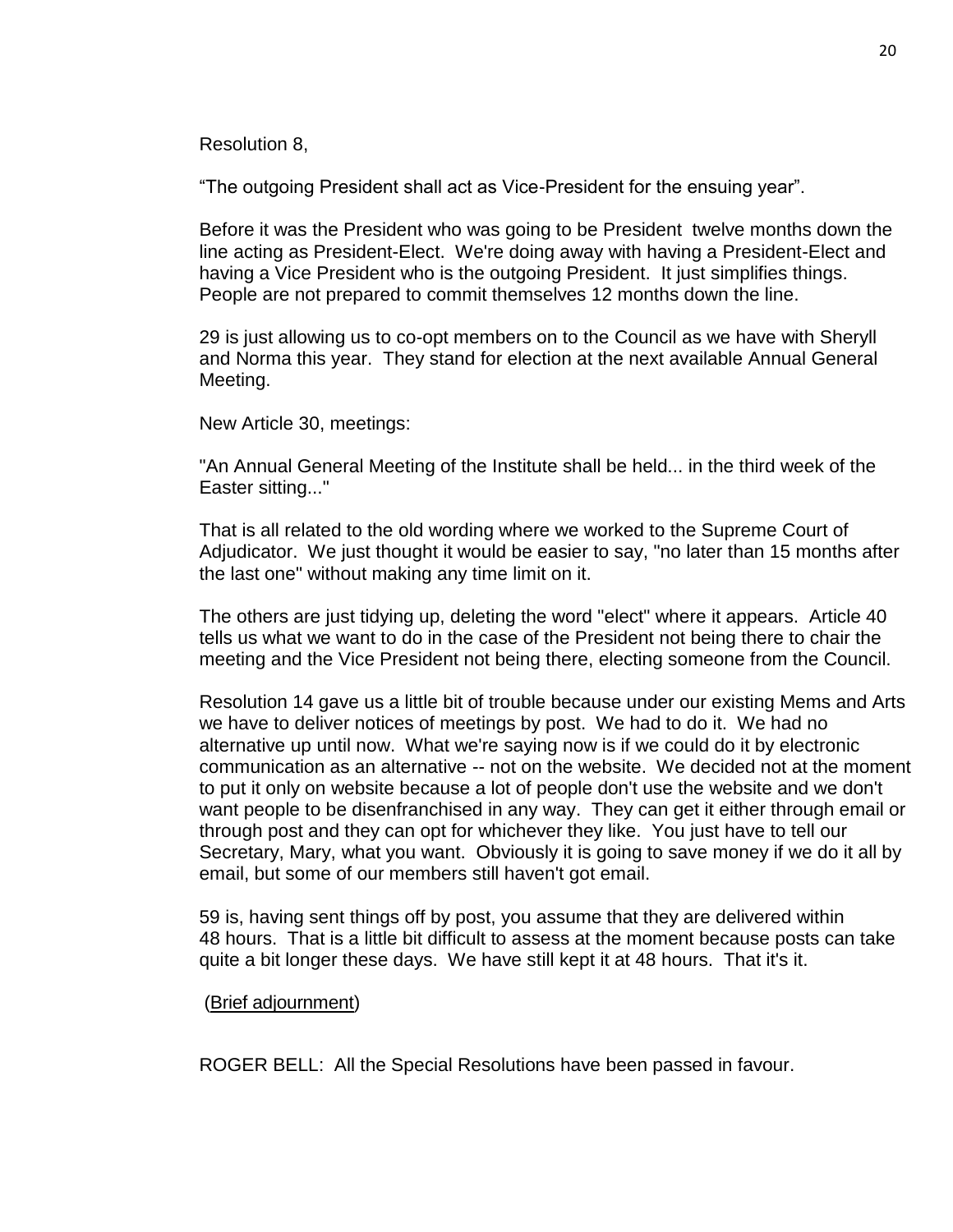Resolution 8,

"The outgoing President shall act as Vice-President for the ensuing year".

Before it was the President who was going to be President twelve months down the line acting as President-Elect. We're doing away with having a President-Elect and having a Vice President who is the outgoing President. It just simplifies things. People are not prepared to commit themselves 12 months down the line.

29 is just allowing us to co-opt members on to the Council as we have with Sheryll and Norma this year. They stand for election at the next available Annual General Meeting.

New Article 30, meetings:

"An Annual General Meeting of the Institute shall be held... in the third week of the Easter sitting..."

That is all related to the old wording where we worked to the Supreme Court of Adjudicator. We just thought it would be easier to say, "no later than 15 months after the last one" without making any time limit on it.

The others are just tidying up, deleting the word "elect" where it appears. Article 40 tells us what we want to do in the case of the President not being there to chair the meeting and the Vice President not being there, electing someone from the Council.

Resolution 14 gave us a little bit of trouble because under our existing Mems and Arts we have to deliver notices of meetings by post. We had to do it. We had no alternative up until now. What we're saying now is if we could do it by electronic communication as an alternative -- not on the website. We decided not at the moment to put it only on website because a lot of people don't use the website and we don't want people to be disenfranchised in any way. They can get it either through email or through post and they can opt for whichever they like. You just have to tell our Secretary, Mary, what you want. Obviously it is going to save money if we do it all by email, but some of our members still haven't got email.

59 is, having sent things off by post, you assume that they are delivered within 48 hours. That is a little bit difficult to assess at the moment because posts can take quite a bit longer these days. We have still kept it at 48 hours. That it's it.

#### (Brief adjournment)

ROGER BELL: All the Special Resolutions have been passed in favour.